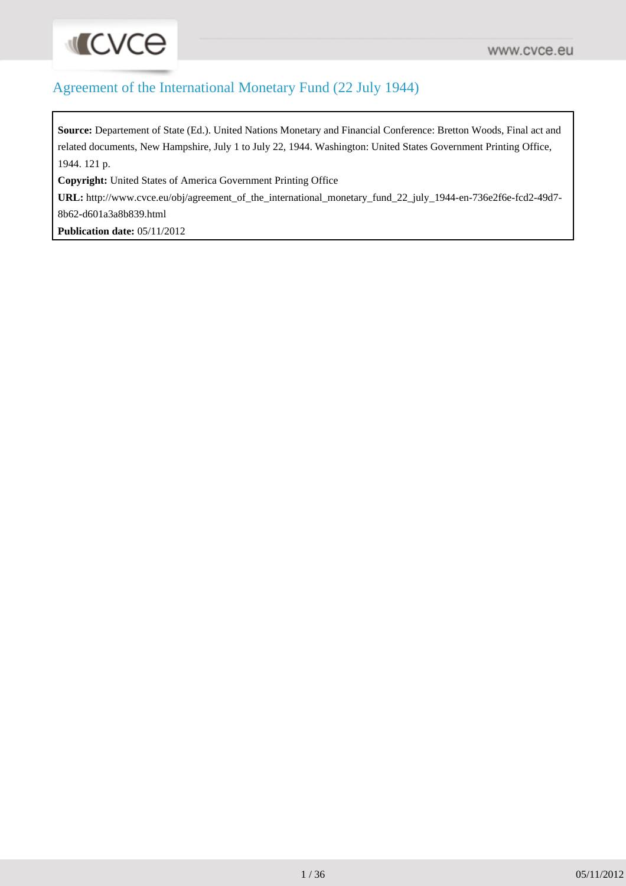## Agreement of the International Monetary Fund (22 July 1944)

**Source:** Departement of State (Ed.). United Nations Monetary and Financial Conference: Bretton Woods, Final act and related documents, New Hampshire, July 1 to July 22, 1944. Washington: United States Government Printing Office, 1944. 121 p.

**Copyright:** United States of America Government Printing Office

**URL:** [http://www.cvce.eu/obj/agreement\\_of\\_the\\_international\\_monetary\\_fund\\_22\\_july\\_1944-en-736e2f6e-fcd2-49d7-](http://www.cvce.eu/obj/agreement_of_the_international_monetary_fund_22_july_1944-en-736e2f6e-fcd2-49d7-8b62-d601a3a8b839.html) [8b62-d601a3a8b839.html](http://www.cvce.eu/obj/agreement_of_the_international_monetary_fund_22_july_1944-en-736e2f6e-fcd2-49d7-8b62-d601a3a8b839.html)

**Publication date:** 05/11/2012

**INCVCe**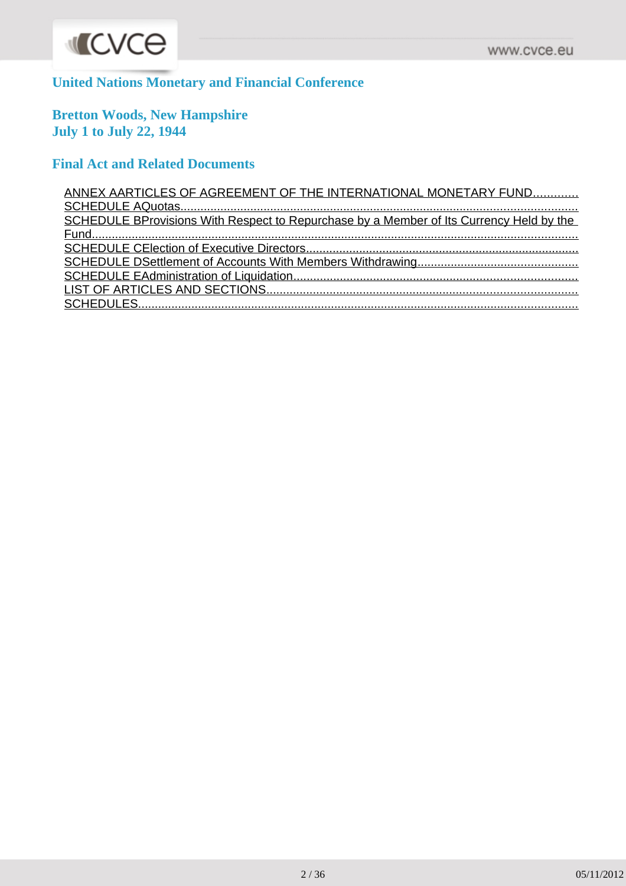# **ILCVCe**

**United Nations Monetary and Financial Conference**

**Bretton Woods, New Hampshire July 1 to July 22, 1944**

## **Final Act and Related Documents**

| ANNEX AARTICLES OF AGREEMENT OF THE INTERNATIONAL MONETARY FUND                         |
|-----------------------------------------------------------------------------------------|
|                                                                                         |
| SCHEDULE BProvisions With Respect to Repurchase by a Member of Its Currency Held by the |
|                                                                                         |
|                                                                                         |
|                                                                                         |
|                                                                                         |
|                                                                                         |
|                                                                                         |
|                                                                                         |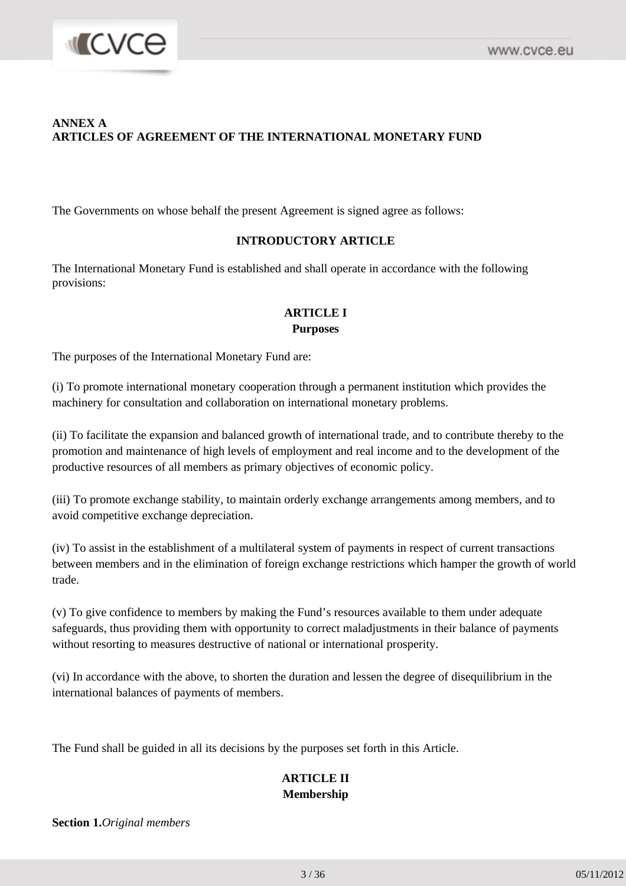

## **ANNEX A ARTICLES OF AGREEMENT OF THE INTERNATIONAL MONETARY FUND**

The Governments on whose behalf the present Agreement is signed agree as follows:

#### **INTRODUCTORY ARTICLE**

The International Monetary Fund is established and shall operate in accordance with the following provisions:

## **ARTICLE I Purposes**

The purposes of the International Monetary Fund are:

(i) To promote international monetary cooperation through a permanent institution which provides the machinery for consultation and collaboration on international monetary problems.

(ii) To facilitate the expansion and balanced growth of international trade, and to contribute thereby to the promotion and maintenance of high levels of employment and real income and to the development of the productive resources of all members as primary objectives of economic policy.

(iii) To promote exchange stability, to maintain orderly exchange arrangements among members, and to avoid competitive exchange depreciation.

(iv) To assist in the establishment of a multilateral system of payments in respect of current transactions between members and in the elimination of foreign exchange restrictions which hamper the growth of world trade.

(v) To give confidence to members by making the Fund's resources available to them under adequate safeguards, thus providing them with opportunity to correct maladjustments in their balance of payments without resorting to measures destructive of national or international prosperity.

(vi) In accordance with the above, to shorten the duration and lessen the degree of disequilibrium in the international balances of payments of members.

The Fund shall be guided in all its decisions by the purposes set forth in this Article.

## **ARTICLE II Membership**

**Section 1.***Original members*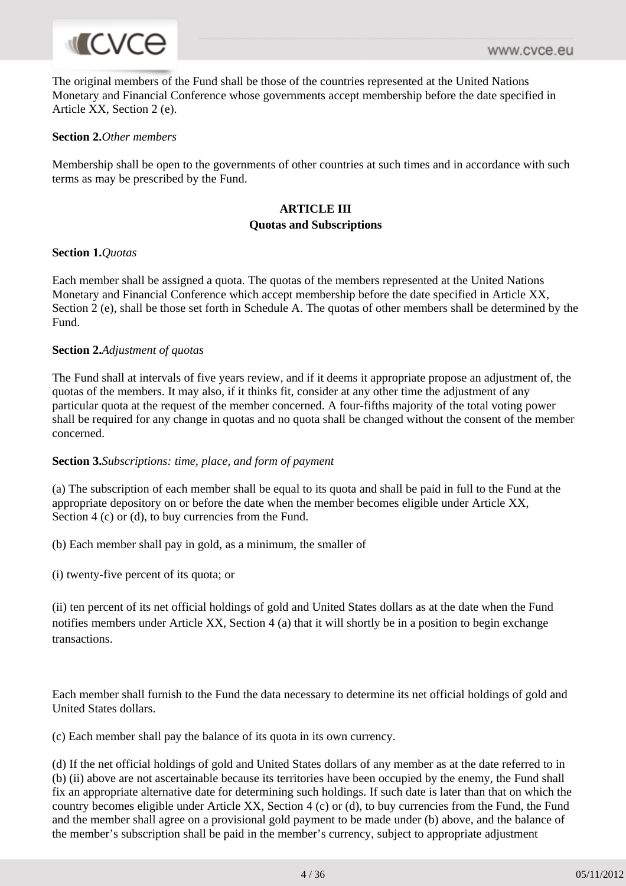

The original members of the Fund shall be those of the countries represented at the United Nations Monetary and Financial Conference whose governments accept membership before the date specified in Article XX, Section 2 (e).

#### **Section 2.***Other members*

Membership shall be open to the governments of other countries at such times and in accordance with such terms as may be prescribed by the Fund.

## **ARTICLE III Quotas and Subscriptions**

#### **Section 1.***Quotas*

Each member shall be assigned a quota. The quotas of the members represented at the United Nations Monetary and Financial Conference which accept membership before the date specified in Article XX, Section 2 (e), shall be those set forth in Schedule A. The quotas of other members shall be determined by the Fund.

#### **Section 2.***Adjustment of quotas*

The Fund shall at intervals of five years review, and if it deems it appropriate propose an adjustment of, the quotas of the members. It may also, if it thinks fit, consider at any other time the adjustment of any particular quota at the request of the member concerned. A four-fifths majority of the total voting power shall be required for any change in quotas and no quota shall be changed without the consent of the member concerned.

#### **Section 3.***Subscriptions: time, place, and form of payment*

(a) The subscription of each member shall be equal to its quota and shall be paid in full to the Fund at the appropriate depository on or before the date when the member becomes eligible under Article XX, Section 4 (c) or (d), to buy currencies from the Fund.

- (b) Each member shall pay in gold, as a minimum, the smaller of
- (i) twenty-five percent of its quota; or

(ii) ten percent of its net official holdings of gold and United States dollars as at the date when the Fund notifies members under Article XX, Section 4 (a) that it will shortly be in a position to begin exchange transactions.

Each member shall furnish to the Fund the data necessary to determine its net official holdings of gold and United States dollars.

(c) Each member shall pay the balance of its quota in its own currency.

(d) If the net official holdings of gold and United States dollars of any member as at the date referred to in (b) (ii) above are not ascertainable because its territories have been occupied by the enemy, the Fund shall fix an appropriate alternative date for determining such holdings. If such date is later than that on which the country becomes eligible under Article XX, Section 4 (c) or (d), to buy currencies from the Fund, the Fund and the member shall agree on a provisional gold payment to be made under (b) above, and the balance of the member's subscription shall be paid in the member's currency, subject to appropriate adjustment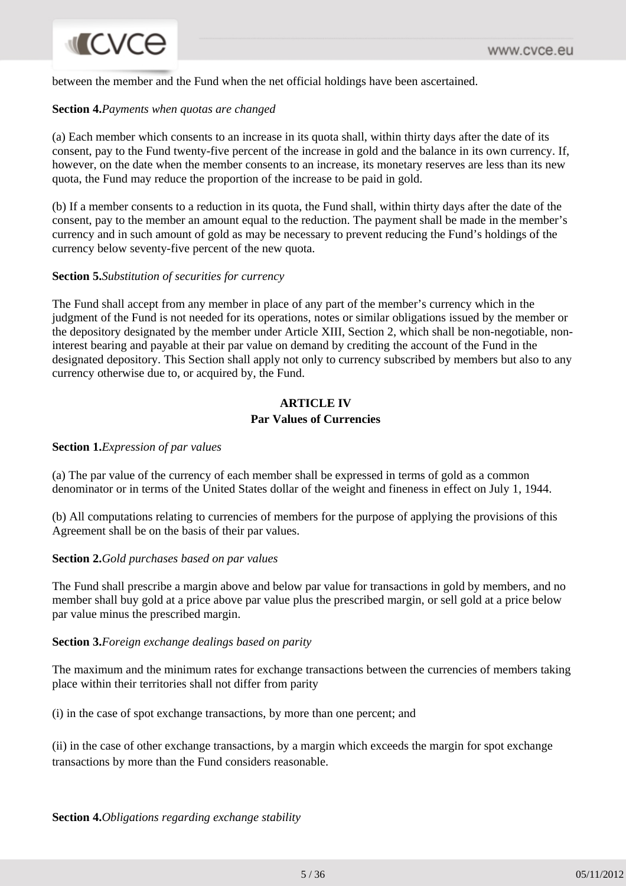between the member and the Fund when the net official holdings have been ascertained.

## **Section 4.***Payments when quotas are changed*

(a) Each member which consents to an increase in its quota shall, within thirty days after the date of its consent, pay to the Fund twenty-five percent of the increase in gold and the balance in its own currency. If, however, on the date when the member consents to an increase, its monetary reserves are less than its new quota, the Fund may reduce the proportion of the increase to be paid in gold.

(b) If a member consents to a reduction in its quota, the Fund shall, within thirty days after the date of the consent, pay to the member an amount equal to the reduction. The payment shall be made in the member's currency and in such amount of gold as may be necessary to prevent reducing the Fund's holdings of the currency below seventy-five percent of the new quota.

## **Section 5.***Substitution of securities for currency*

The Fund shall accept from any member in place of any part of the member's currency which in the judgment of the Fund is not needed for its operations, notes or similar obligations issued by the member or the depository designated by the member under Article XIII, Section 2, which shall be non-negotiable, noninterest bearing and payable at their par value on demand by crediting the account of the Fund in the designated depository. This Section shall apply not only to currency subscribed by members but also to any currency otherwise due to, or acquired by, the Fund.

## **ARTICLE IV Par Values of Currencies**

## **Section 1.***Expression of par values*

(a) The par value of the currency of each member shall be expressed in terms of gold as a common denominator or in terms of the United States dollar of the weight and fineness in effect on July 1, 1944.

(b) All computations relating to currencies of members for the purpose of applying the provisions of this Agreement shall be on the basis of their par values.

## **Section 2.***Gold purchases based on par values*

The Fund shall prescribe a margin above and below par value for transactions in gold by members, and no member shall buy gold at a price above par value plus the prescribed margin, or sell gold at a price below par value minus the prescribed margin.

## **Section 3.***Foreign exchange dealings based on parity*

The maximum and the minimum rates for exchange transactions between the currencies of members taking place within their territories shall not differ from parity

(i) in the case of spot exchange transactions, by more than one percent; and

(ii) in the case of other exchange transactions, by a margin which exceeds the margin for spot exchange transactions by more than the Fund considers reasonable.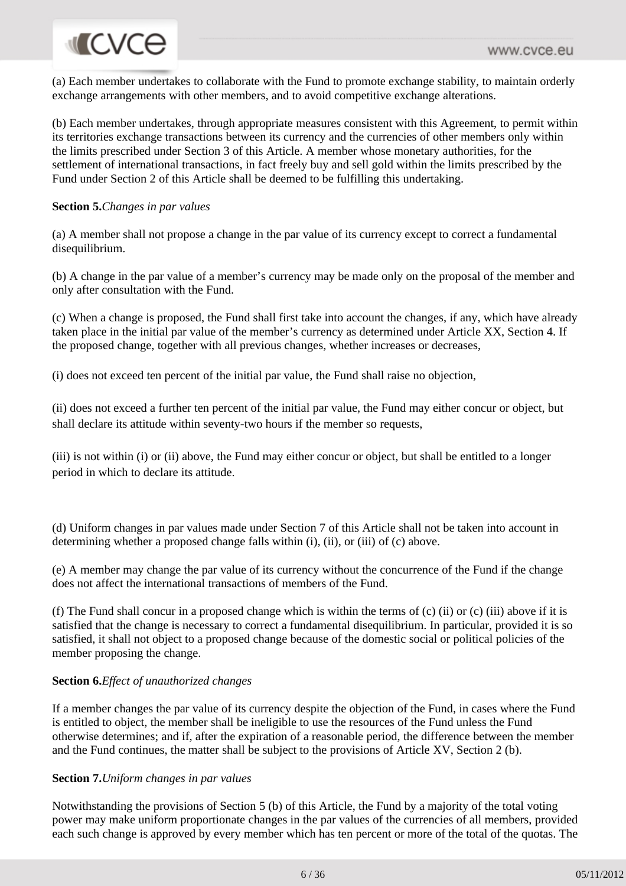(a) Each member undertakes to collaborate with the Fund to promote exchange stability, to maintain orderly exchange arrangements with other members, and to avoid competitive exchange alterations.

(b) Each member undertakes, through appropriate measures consistent with this Agreement, to permit within its territories exchange transactions between its currency and the currencies of other members only within the limits prescribed under Section 3 of this Article. A member whose monetary authorities, for the settlement of international transactions, in fact freely buy and sell gold within the limits prescribed by the Fund under Section 2 of this Article shall be deemed to be fulfilling this undertaking.

## **Section 5.***Changes in par values*

(a) A member shall not propose a change in the par value of its currency except to correct a fundamental disequilibrium.

(b) A change in the par value of a member's currency may be made only on the proposal of the member and only after consultation with the Fund.

(c) When a change is proposed, the Fund shall first take into account the changes, if any, which have already taken place in the initial par value of the member's currency as determined under Article XX, Section 4. If the proposed change, together with all previous changes, whether increases or decreases,

(i) does not exceed ten percent of the initial par value, the Fund shall raise no objection,

(ii) does not exceed a further ten percent of the initial par value, the Fund may either concur or object, but shall declare its attitude within seventy-two hours if the member so requests,

(iii) is not within (i) or (ii) above, the Fund may either concur or object, but shall be entitled to a longer period in which to declare its attitude.

(d) Uniform changes in par values made under Section 7 of this Article shall not be taken into account in determining whether a proposed change falls within (i), (ii), or (iii) of (c) above.

(e) A member may change the par value of its currency without the concurrence of the Fund if the change does not affect the international transactions of members of the Fund.

(f) The Fund shall concur in a proposed change which is within the terms of  $(c)$  (ii) or  $(c)$  (iii) above if it is satisfied that the change is necessary to correct a fundamental disequilibrium. In particular, provided it is so satisfied, it shall not object to a proposed change because of the domestic social or political policies of the member proposing the change.

## **Section 6.***Effect of unauthorized changes*

If a member changes the par value of its currency despite the objection of the Fund, in cases where the Fund is entitled to object, the member shall be ineligible to use the resources of the Fund unless the Fund otherwise determines; and if, after the expiration of a reasonable period, the difference between the member and the Fund continues, the matter shall be subject to the provisions of Article XV, Section 2 (b).

## **Section 7.***Uniform changes in par values*

Notwithstanding the provisions of Section 5 (b) of this Article, the Fund by a majority of the total voting power may make uniform proportionate changes in the par values of the currencies of all members, provided each such change is approved by every member which has ten percent or more of the total of the quotas. The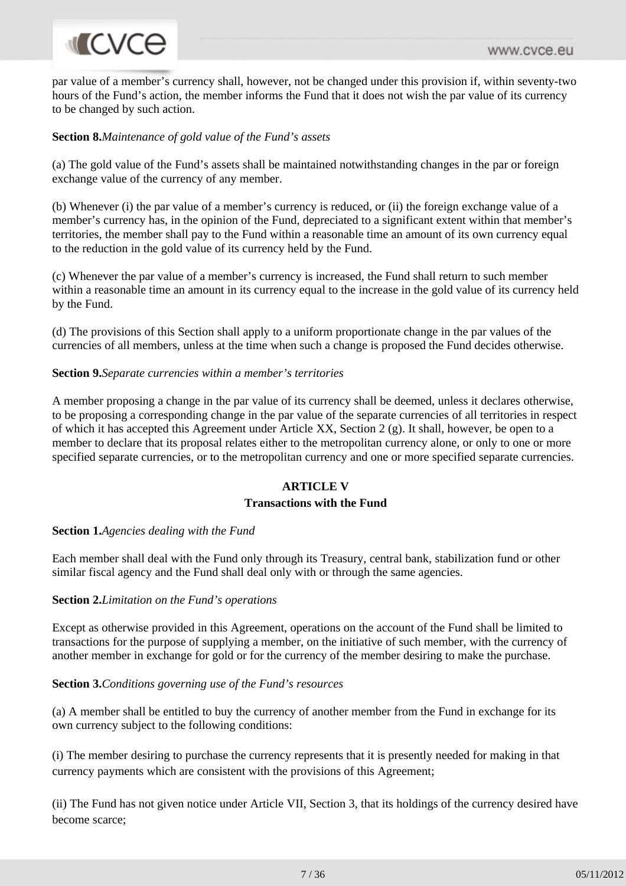par value of a member's currency shall, however, not be changed under this provision if, within seventy-two hours of the Fund's action, the member informs the Fund that it does not wish the par value of its currency to be changed by such action.

## **Section 8.***Maintenance of gold value of the Fund's assets*

(a) The gold value of the Fund's assets shall be maintained notwithstanding changes in the par or foreign exchange value of the currency of any member.

(b) Whenever (i) the par value of a member's currency is reduced, or (ii) the foreign exchange value of a member's currency has, in the opinion of the Fund, depreciated to a significant extent within that member's territories, the member shall pay to the Fund within a reasonable time an amount of its own currency equal to the reduction in the gold value of its currency held by the Fund.

(c) Whenever the par value of a member's currency is increased, the Fund shall return to such member within a reasonable time an amount in its currency equal to the increase in the gold value of its currency held by the Fund.

(d) The provisions of this Section shall apply to a uniform proportionate change in the par values of the currencies of all members, unless at the time when such a change is proposed the Fund decides otherwise.

## **Section 9.***Separate currencies within a member's territories*

A member proposing a change in the par value of its currency shall be deemed, unless it declares otherwise, to be proposing a corresponding change in the par value of the separate currencies of all territories in respect of which it has accepted this Agreement under Article XX, Section 2 (g). It shall, however, be open to a member to declare that its proposal relates either to the metropolitan currency alone, or only to one or more specified separate currencies, or to the metropolitan currency and one or more specified separate currencies.

## **ARTICLE V Transactions with the Fund**

## **Section 1.***Agencies dealing with the Fund*

Each member shall deal with the Fund only through its Treasury, central bank, stabilization fund or other similar fiscal agency and the Fund shall deal only with or through the same agencies.

## **Section 2.***Limitation on the Fund's operations*

Except as otherwise provided in this Agreement, operations on the account of the Fund shall be limited to transactions for the purpose of supplying a member, on the initiative of such member, with the currency of another member in exchange for gold or for the currency of the member desiring to make the purchase.

## **Section 3.***Conditions governing use of the Fund's resources*

(a) A member shall be entitled to buy the currency of another member from the Fund in exchange for its own currency subject to the following conditions:

(i) The member desiring to purchase the currency represents that it is presently needed for making in that currency payments which are consistent with the provisions of this Agreement;

(ii) The Fund has not given notice under Article VII, Section 3, that its holdings of the currency desired have become scarce;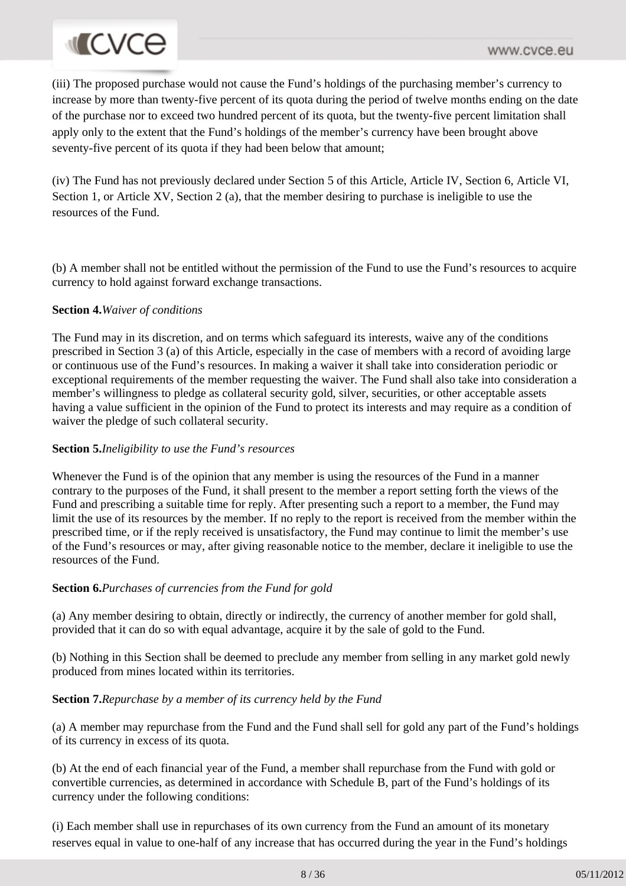(iii) The proposed purchase would not cause the Fund's holdings of the purchasing member's currency to increase by more than twenty-five percent of its quota during the period of twelve months ending on the date of the purchase nor to exceed two hundred percent of its quota, but the twenty-five percent limitation shall apply only to the extent that the Fund's holdings of the member's currency have been brought above seventy-five percent of its quota if they had been below that amount;

(iv) The Fund has not previously declared under Section 5 of this Article, Article IV, Section 6, Article VI, Section 1, or Article XV, Section 2 (a), that the member desiring to purchase is ineligible to use the resources of the Fund.

(b) A member shall not be entitled without the permission of the Fund to use the Fund's resources to acquire currency to hold against forward exchange transactions.

## **Section 4.***Waiver of conditions*

The Fund may in its discretion, and on terms which safeguard its interests, waive any of the conditions prescribed in Section 3 (a) of this Article, especially in the case of members with a record of avoiding large or continuous use of the Fund's resources. In making a waiver it shall take into consideration periodic or exceptional requirements of the member requesting the waiver. The Fund shall also take into consideration a member's willingness to pledge as collateral security gold, silver, securities, or other acceptable assets having a value sufficient in the opinion of the Fund to protect its interests and may require as a condition of waiver the pledge of such collateral security.

## **Section 5.***Ineligibility to use the Fund's resources*

Whenever the Fund is of the opinion that any member is using the resources of the Fund in a manner contrary to the purposes of the Fund, it shall present to the member a report setting forth the views of the Fund and prescribing a suitable time for reply. After presenting such a report to a member, the Fund may limit the use of its resources by the member. If no reply to the report is received from the member within the prescribed time, or if the reply received is unsatisfactory, the Fund may continue to limit the member's use of the Fund's resources or may, after giving reasonable notice to the member, declare it ineligible to use the resources of the Fund.

## **Section 6.***Purchases of currencies from the Fund for gold*

(a) Any member desiring to obtain, directly or indirectly, the currency of another member for gold shall, provided that it can do so with equal advantage, acquire it by the sale of gold to the Fund.

(b) Nothing in this Section shall be deemed to preclude any member from selling in any market gold newly produced from mines located within its territories.

## **Section 7.***Repurchase by a member of its currency held by the Fund*

(a) A member may repurchase from the Fund and the Fund shall sell for gold any part of the Fund's holdings of its currency in excess of its quota.

(b) At the end of each financial year of the Fund, a member shall repurchase from the Fund with gold or convertible currencies, as determined in accordance with Schedule B, part of the Fund's holdings of its currency under the following conditions:

(i) Each member shall use in repurchases of its own currency from the Fund an amount of its monetary reserves equal in value to one-half of any increase that has occurred during the year in the Fund's holdings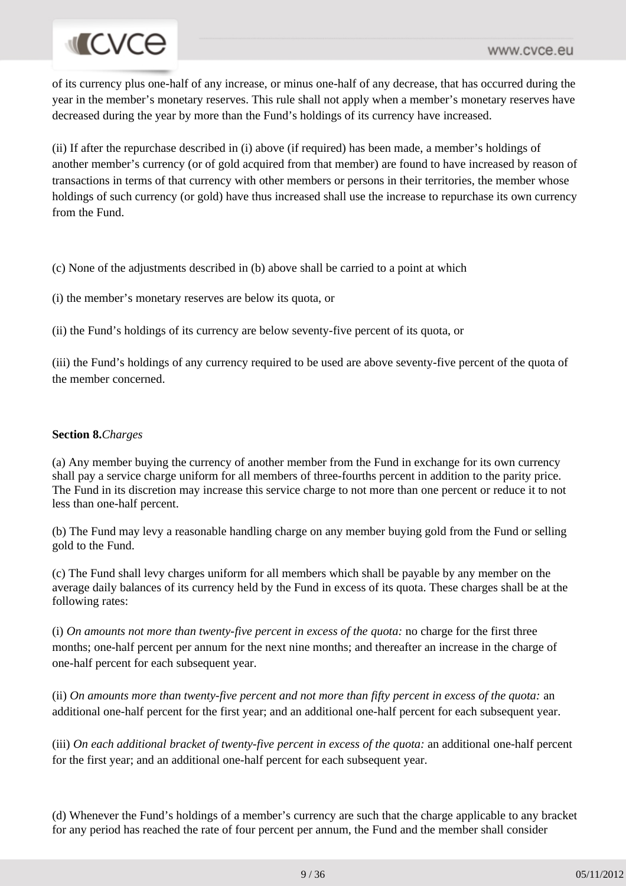# **INCVCe**

of its currency plus one-half of any increase, or minus one-half of any decrease, that has occurred during the year in the member's monetary reserves. This rule shall not apply when a member's monetary reserves have decreased during the year by more than the Fund's holdings of its currency have increased.

(ii) If after the repurchase described in (i) above (if required) has been made, a member's holdings of another member's currency (or of gold acquired from that member) are found to have increased by reason of transactions in terms of that currency with other members or persons in their territories, the member whose holdings of such currency (or gold) have thus increased shall use the increase to repurchase its own currency from the Fund.

(c) None of the adjustments described in (b) above shall be carried to a point at which

(i) the member's monetary reserves are below its quota, or

(ii) the Fund's holdings of its currency are below seventy-five percent of its quota, or

(iii) the Fund's holdings of any currency required to be used are above seventy-five percent of the quota of the member concerned.

## **Section 8.***Charges*

(a) Any member buying the currency of another member from the Fund in exchange for its own currency shall pay a service charge uniform for all members of three-fourths percent in addition to the parity price. The Fund in its discretion may increase this service charge to not more than one percent or reduce it to not less than one-half percent.

(b) The Fund may levy a reasonable handling charge on any member buying gold from the Fund or selling gold to the Fund.

(c) The Fund shall levy charges uniform for all members which shall be payable by any member on the average daily balances of its currency held by the Fund in excess of its quota. These charges shall be at the following rates:

(i) *On amounts not more than twenty-five percent in excess of the quota:* no charge for the first three months; one-half percent per annum for the next nine months; and thereafter an increase in the charge of one-half percent for each subsequent year.

(ii) *On amounts more than twenty-five percent and not more than fifty percent in excess of the quota:* an additional one-half percent for the first year; and an additional one-half percent for each subsequent year.

(iii) *On each additional bracket of twenty-five percent in excess of the quota:* an additional one-half percent for the first year; and an additional one-half percent for each subsequent year.

(d) Whenever the Fund's holdings of a member's currency are such that the charge applicable to any bracket for any period has reached the rate of four percent per annum, the Fund and the member shall consider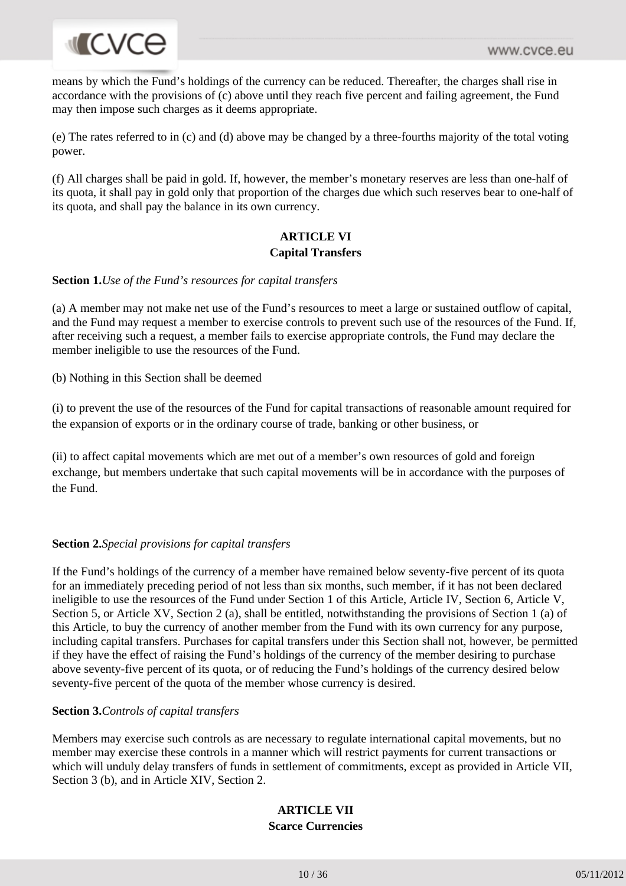

means by which the Fund's holdings of the currency can be reduced. Thereafter, the charges shall rise in accordance with the provisions of (c) above until they reach five percent and failing agreement, the Fund may then impose such charges as it deems appropriate.

(e) The rates referred to in (c) and (d) above may be changed by a three-fourths majority of the total voting power.

(f) All charges shall be paid in gold. If, however, the member's monetary reserves are less than one-half of its quota, it shall pay in gold only that proportion of the charges due which such reserves bear to one-half of its quota, and shall pay the balance in its own currency.

## **ARTICLE VI Capital Transfers**

## **Section 1.***Use of the Fund's resources for capital transfers*

(a) A member may not make net use of the Fund's resources to meet a large or sustained outflow of capital, and the Fund may request a member to exercise controls to prevent such use of the resources of the Fund. If, after receiving such a request, a member fails to exercise appropriate controls, the Fund may declare the member ineligible to use the resources of the Fund.

(b) Nothing in this Section shall be deemed

(i) to prevent the use of the resources of the Fund for capital transactions of reasonable amount required for the expansion of exports or in the ordinary course of trade, banking or other business, or

(ii) to affect capital movements which are met out of a member's own resources of gold and foreign exchange, but members undertake that such capital movements will be in accordance with the purposes of the Fund.

## **Section 2.***Special provisions for capital transfers*

If the Fund's holdings of the currency of a member have remained below seventy-five percent of its quota for an immediately preceding period of not less than six months, such member, if it has not been declared ineligible to use the resources of the Fund under Section 1 of this Article, Article IV, Section 6, Article V, Section 5, or Article XV, Section 2 (a), shall be entitled, notwithstanding the provisions of Section 1 (a) of this Article, to buy the currency of another member from the Fund with its own currency for any purpose, including capital transfers. Purchases for capital transfers under this Section shall not, however, be permitted if they have the effect of raising the Fund's holdings of the currency of the member desiring to purchase above seventy-five percent of its quota, or of reducing the Fund's holdings of the currency desired below seventy-five percent of the quota of the member whose currency is desired.

## **Section 3.***Controls of capital transfers*

Members may exercise such controls as are necessary to regulate international capital movements, but no member may exercise these controls in a manner which will restrict payments for current transactions or which will unduly delay transfers of funds in settlement of commitments, except as provided in Article VII, Section 3 (b), and in Article XIV, Section 2.

## **ARTICLE VII Scarce Currencies**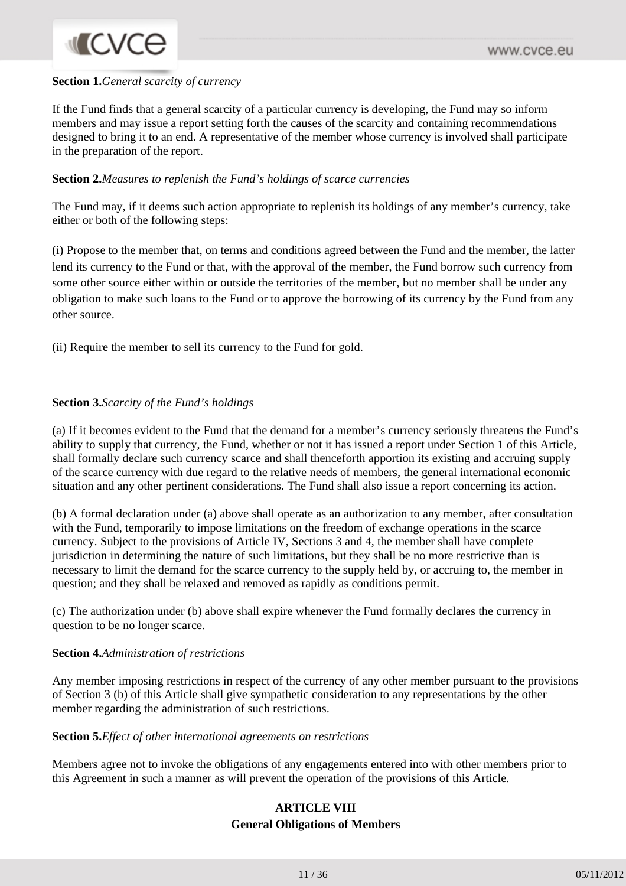## **Section 1.***General scarcity of currency*

If the Fund finds that a general scarcity of a particular currency is developing, the Fund may so inform members and may issue a report setting forth the causes of the scarcity and containing recommendations designed to bring it to an end. A representative of the member whose currency is involved shall participate in the preparation of the report.

#### **Section 2.***Measures to replenish the Fund's holdings of scarce currencies*

The Fund may, if it deems such action appropriate to replenish its holdings of any member's currency, take either or both of the following steps:

(i) Propose to the member that, on terms and conditions agreed between the Fund and the member, the latter lend its currency to the Fund or that, with the approval of the member, the Fund borrow such currency from some other source either within or outside the territories of the member, but no member shall be under any obligation to make such loans to the Fund or to approve the borrowing of its currency by the Fund from any other source.

(ii) Require the member to sell its currency to the Fund for gold.

## **Section 3.***Scarcity of the Fund's holdings*

(a) If it becomes evident to the Fund that the demand for a member's currency seriously threatens the Fund's ability to supply that currency, the Fund, whether or not it has issued a report under Section 1 of this Article, shall formally declare such currency scarce and shall thenceforth apportion its existing and accruing supply of the scarce currency with due regard to the relative needs of members, the general international economic situation and any other pertinent considerations. The Fund shall also issue a report concerning its action.

(b) A formal declaration under (a) above shall operate as an authorization to any member, after consultation with the Fund, temporarily to impose limitations on the freedom of exchange operations in the scarce currency. Subject to the provisions of Article IV, Sections 3 and 4, the member shall have complete jurisdiction in determining the nature of such limitations, but they shall be no more restrictive than is necessary to limit the demand for the scarce currency to the supply held by, or accruing to, the member in question; and they shall be relaxed and removed as rapidly as conditions permit.

(c) The authorization under (b) above shall expire whenever the Fund formally declares the currency in question to be no longer scarce.

#### **Section 4.***Administration of restrictions*

Any member imposing restrictions in respect of the currency of any other member pursuant to the provisions of Section 3 (b) of this Article shall give sympathetic consideration to any representations by the other member regarding the administration of such restrictions.

#### **Section 5.***Effect of other international agreements on restrictions*

Members agree not to invoke the obligations of any engagements entered into with other members prior to this Agreement in such a manner as will prevent the operation of the provisions of this Article.

## **ARTICLE VIII General Obligations of Members**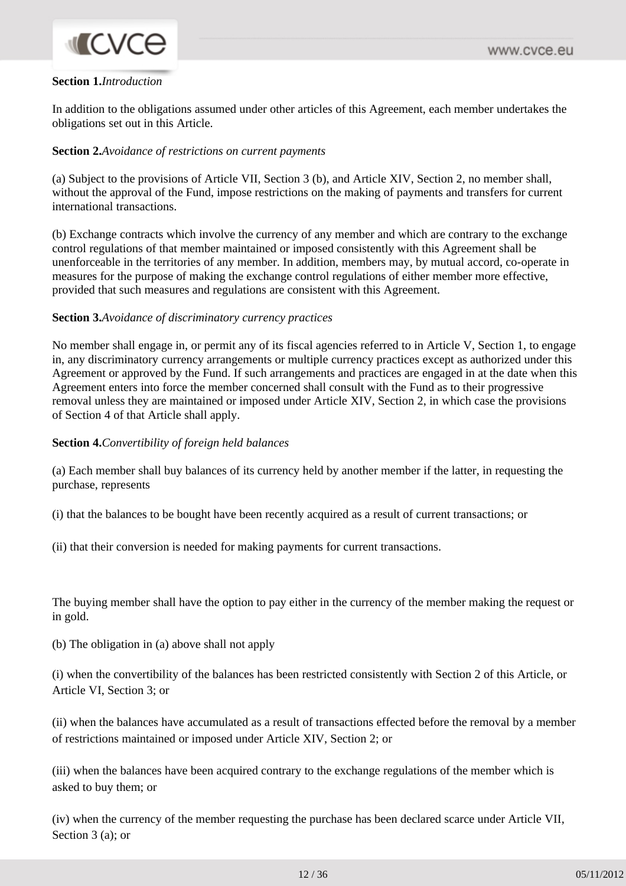## **Section 1.***Introduction*

In addition to the obligations assumed under other articles of this Agreement, each member undertakes the obligations set out in this Article.

## **Section 2.***Avoidance of restrictions on current payments*

(a) Subject to the provisions of Article VII, Section 3 (b), and Article XIV, Section 2, no member shall, without the approval of the Fund, impose restrictions on the making of payments and transfers for current international transactions.

(b) Exchange contracts which involve the currency of any member and which are contrary to the exchange control regulations of that member maintained or imposed consistently with this Agreement shall be unenforceable in the territories of any member. In addition, members may, by mutual accord, co-operate in measures for the purpose of making the exchange control regulations of either member more effective, provided that such measures and regulations are consistent with this Agreement.

## **Section 3.***Avoidance of discriminatory currency practices*

No member shall engage in, or permit any of its fiscal agencies referred to in Article V, Section 1, to engage in, any discriminatory currency arrangements or multiple currency practices except as authorized under this Agreement or approved by the Fund. If such arrangements and practices are engaged in at the date when this Agreement enters into force the member concerned shall consult with the Fund as to their progressive removal unless they are maintained or imposed under Article XIV, Section 2, in which case the provisions of Section 4 of that Article shall apply.

## **Section 4.***Convertibility of foreign held balances*

(a) Each member shall buy balances of its currency held by another member if the latter, in requesting the purchase, represents

(i) that the balances to be bought have been recently acquired as a result of current transactions; or

(ii) that their conversion is needed for making payments for current transactions.

The buying member shall have the option to pay either in the currency of the member making the request or in gold.

(b) The obligation in (a) above shall not apply

(i) when the convertibility of the balances has been restricted consistently with Section 2 of this Article, or Article VI, Section 3; or

(ii) when the balances have accumulated as a result of transactions effected before the removal by a member of restrictions maintained or imposed under Article XIV, Section 2; or

(iii) when the balances have been acquired contrary to the exchange regulations of the member which is asked to buy them; or

(iv) when the currency of the member requesting the purchase has been declared scarce under Article VII, Section 3 (a); or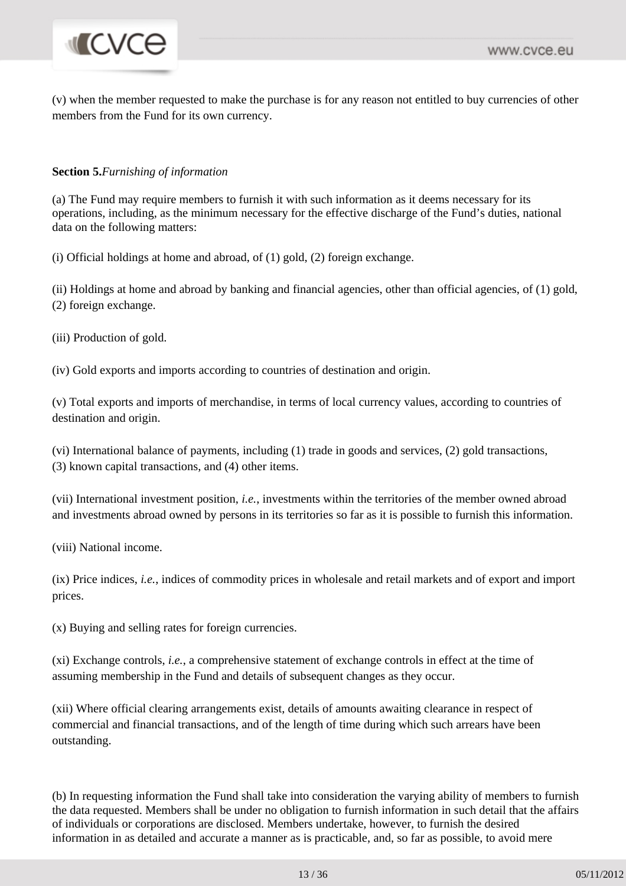

(v) when the member requested to make the purchase is for any reason not entitled to buy currencies of other members from the Fund for its own currency.

## **Section 5.***Furnishing of information*

(a) The Fund may require members to furnish it with such information as it deems necessary for its operations, including, as the minimum necessary for the effective discharge of the Fund's duties, national data on the following matters:

(i) Official holdings at home and abroad, of (1) gold, (2) foreign exchange.

(ii) Holdings at home and abroad by banking and financial agencies, other than official agencies, of (1) gold, (2) foreign exchange.

(iii) Production of gold.

(iv) Gold exports and imports according to countries of destination and origin.

(v) Total exports and imports of merchandise, in terms of local currency values, according to countries of destination and origin.

(vi) International balance of payments, including (1) trade in goods and services, (2) gold transactions, (3) known capital transactions, and (4) other items.

(vii) International investment position, *i.e.*, investments within the territories of the member owned abroad and investments abroad owned by persons in its territories so far as it is possible to furnish this information.

(viii) National income.

(ix) Price indices, *i.e.*, indices of commodity prices in wholesale and retail markets and of export and import prices.

(x) Buying and selling rates for foreign currencies.

(xi) Exchange controls, *i.e.*, a comprehensive statement of exchange controls in effect at the time of assuming membership in the Fund and details of subsequent changes as they occur.

(xii) Where official clearing arrangements exist, details of amounts awaiting clearance in respect of commercial and financial transactions, and of the length of time during which such arrears have been outstanding.

(b) In requesting information the Fund shall take into consideration the varying ability of members to furnish the data requested. Members shall be under no obligation to furnish information in such detail that the affairs of individuals or corporations are disclosed. Members undertake, however, to furnish the desired information in as detailed and accurate a manner as is practicable, and, so far as possible, to avoid mere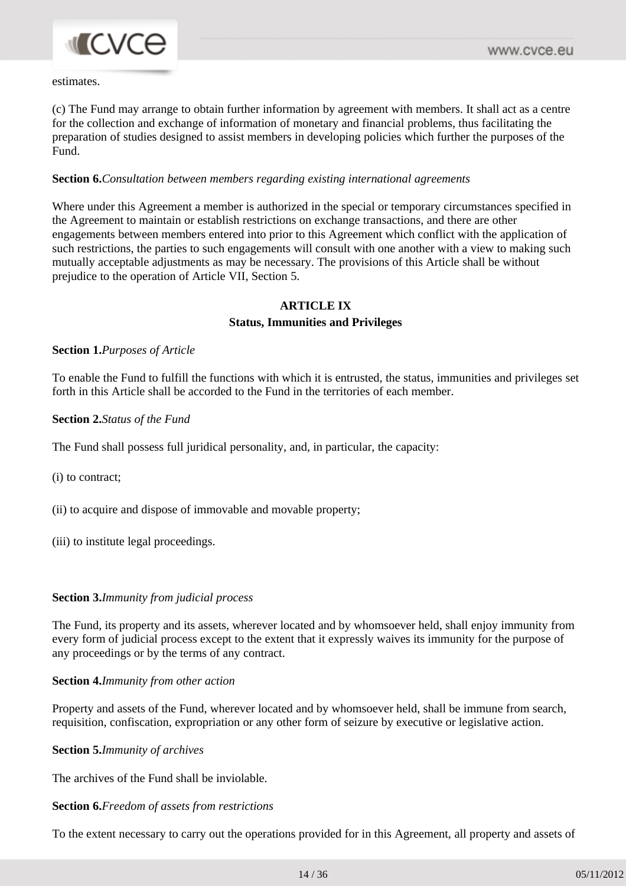

#### estimates.

(c) The Fund may arrange to obtain further information by agreement with members. It shall act as a centre for the collection and exchange of information of monetary and financial problems, thus facilitating the preparation of studies designed to assist members in developing policies which further the purposes of the Fund.

#### **Section 6.***Consultation between members regarding existing international agreements*

Where under this Agreement a member is authorized in the special or temporary circumstances specified in the Agreement to maintain or establish restrictions on exchange transactions, and there are other engagements between members entered into prior to this Agreement which conflict with the application of such restrictions, the parties to such engagements will consult with one another with a view to making such mutually acceptable adjustments as may be necessary. The provisions of this Article shall be without prejudice to the operation of Article VII, Section 5.

## **ARTICLE IX Status, Immunities and Privileges**

#### **Section 1.***Purposes of Article*

To enable the Fund to fulfill the functions with which it is entrusted, the status, immunities and privileges set forth in this Article shall be accorded to the Fund in the territories of each member.

#### **Section 2.***Status of the Fund*

The Fund shall possess full juridical personality, and, in particular, the capacity:

(i) to contract;

(ii) to acquire and dispose of immovable and movable property;

(iii) to institute legal proceedings.

#### **Section 3.***Immunity from judicial process*

The Fund, its property and its assets, wherever located and by whomsoever held, shall enjoy immunity from every form of judicial process except to the extent that it expressly waives its immunity for the purpose of any proceedings or by the terms of any contract.

## **Section 4.***Immunity from other action*

Property and assets of the Fund, wherever located and by whomsoever held, shall be immune from search, requisition, confiscation, expropriation or any other form of seizure by executive or legislative action.

#### **Section 5.***Immunity of archives*

The archives of the Fund shall be inviolable.

## **Section 6.***Freedom of assets from restrictions*

To the extent necessary to carry out the operations provided for in this Agreement, all property and assets of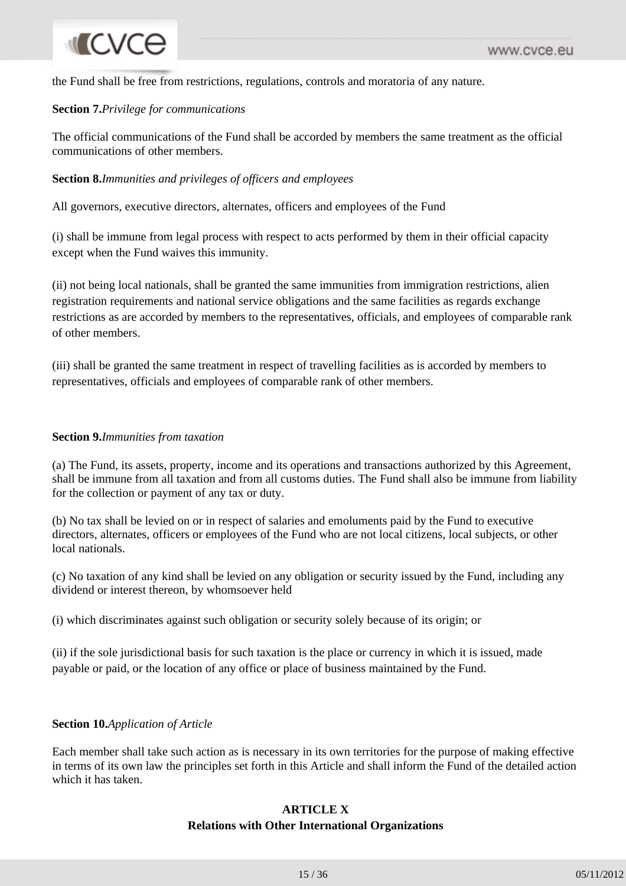the Fund shall be free from restrictions, regulations, controls and moratoria of any nature.

**Section 7.***Privilege for communications*

The official communications of the Fund shall be accorded by members the same treatment as the official communications of other members.

**Section 8.***Immunities and privileges of officers and employees*

All governors, executive directors, alternates, officers and employees of the Fund

(i) shall be immune from legal process with respect to acts performed by them in their official capacity except when the Fund waives this immunity.

(ii) not being local nationals, shall be granted the same immunities from immigration restrictions, alien registration requirements and national service obligations and the same facilities as regards exchange restrictions as are accorded by members to the representatives, officials, and employees of comparable rank of other members.

(iii) shall be granted the same treatment in respect of travelling facilities as is accorded by members to representatives, officials and employees of comparable rank of other members.

## **Section 9.***Immunities from taxation*

(a) The Fund, its assets, property, income and its operations and transactions authorized by this Agreement, shall be immune from all taxation and from all customs duties. The Fund shall also be immune from liability for the collection or payment of any tax or duty.

(b) No tax shall be levied on or in respect of salaries and emoluments paid by the Fund to executive directors, alternates, officers or employees of the Fund who are not local citizens, local subjects, or other local nationals.

(c) No taxation of any kind shall be levied on any obligation or security issued by the Fund, including any dividend or interest thereon, by whomsoever held

(i) which discriminates against such obligation or security solely because of its origin; or

(ii) if the sole jurisdictional basis for such taxation is the place or currency in which it is issued, made payable or paid, or the location of any office or place of business maintained by the Fund.

## **Section 10.***Application of Article*

Each member shall take such action as is necessary in its own territories for the purpose of making effective in terms of its own law the principles set forth in this Article and shall inform the Fund of the detailed action which it has taken.

## **ARTICLE X Relations with Other International Organizations**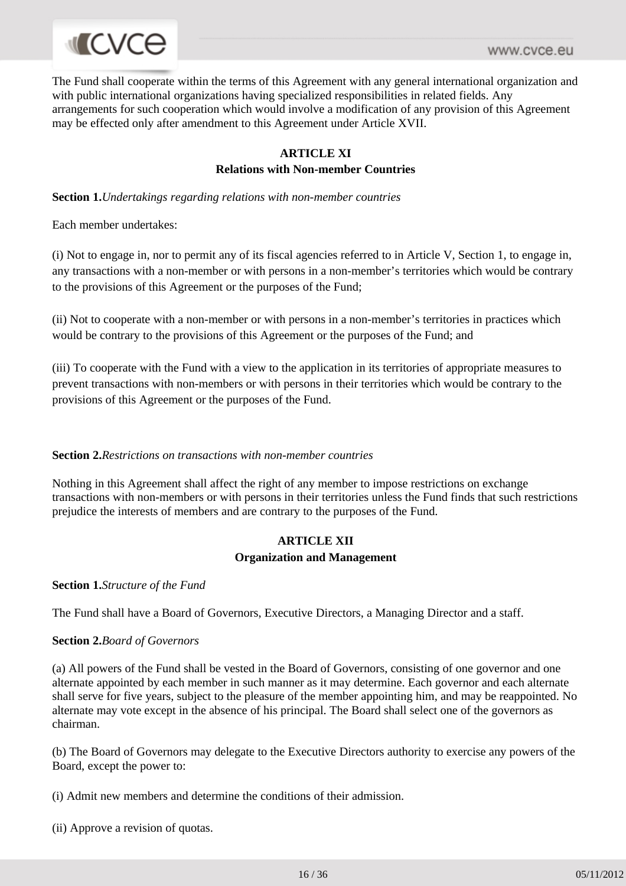

The Fund shall cooperate within the terms of this Agreement with any general international organization and with public international organizations having specialized responsibilities in related fields. Any arrangements for such cooperation which would involve a modification of any provision of this Agreement may be effected only after amendment to this Agreement under Article XVII.

## **ARTICLE XI**

#### **Relations with Non-member Countries**

**Section 1.***Undertakings regarding relations with non-member countries*

Each member undertakes:

(i) Not to engage in, nor to permit any of its fiscal agencies referred to in Article V, Section 1, to engage in, any transactions with a non-member or with persons in a non-member's territories which would be contrary to the provisions of this Agreement or the purposes of the Fund;

(ii) Not to cooperate with a non-member or with persons in a non-member's territories in practices which would be contrary to the provisions of this Agreement or the purposes of the Fund; and

(iii) To cooperate with the Fund with a view to the application in its territories of appropriate measures to prevent transactions with non-members or with persons in their territories which would be contrary to the provisions of this Agreement or the purposes of the Fund.

## **Section 2.***Restrictions on transactions with non-member countries*

Nothing in this Agreement shall affect the right of any member to impose restrictions on exchange transactions with non-members or with persons in their territories unless the Fund finds that such restrictions prejudice the interests of members and are contrary to the purposes of the Fund.

## **ARTICLE XII Organization and Management**

#### **Section 1.***Structure of the Fund*

The Fund shall have a Board of Governors, Executive Directors, a Managing Director and a staff.

## **Section 2.***Board of Governors*

(a) All powers of the Fund shall be vested in the Board of Governors, consisting of one governor and one alternate appointed by each member in such manner as it may determine. Each governor and each alternate shall serve for five years, subject to the pleasure of the member appointing him, and may be reappointed. No alternate may vote except in the absence of his principal. The Board shall select one of the governors as chairman.

(b) The Board of Governors may delegate to the Executive Directors authority to exercise any powers of the Board, except the power to:

(i) Admit new members and determine the conditions of their admission.

(ii) Approve a revision of quotas.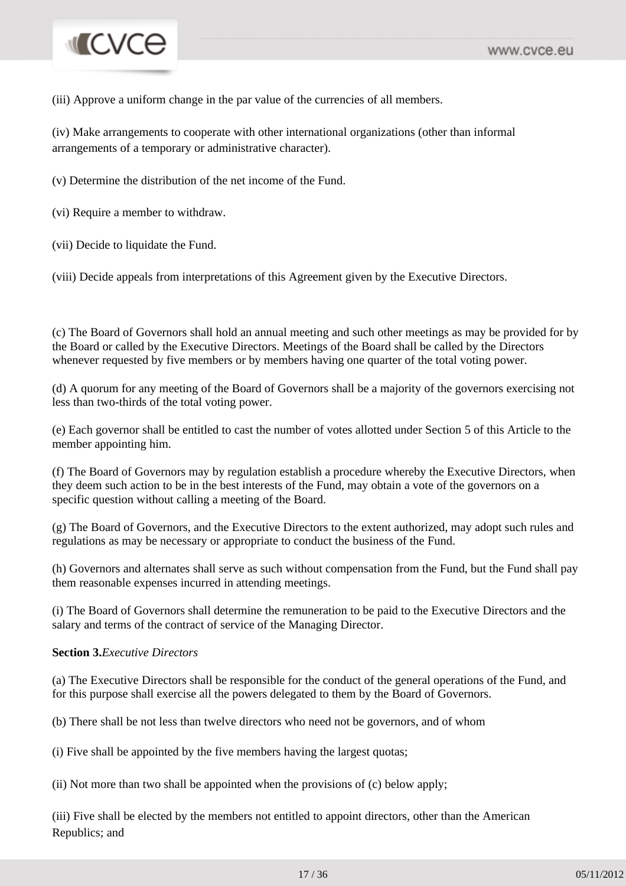(iii) Approve a uniform change in the par value of the currencies of all members.

(iv) Make arrangements to cooperate with other international organizations (other than informal arrangements of a temporary or administrative character).

(v) Determine the distribution of the net income of the Fund.

(vi) Require a member to withdraw.

(vii) Decide to liquidate the Fund.

(viii) Decide appeals from interpretations of this Agreement given by the Executive Directors.

(c) The Board of Governors shall hold an annual meeting and such other meetings as may be provided for by the Board or called by the Executive Directors. Meetings of the Board shall be called by the Directors whenever requested by five members or by members having one quarter of the total voting power.

(d) A quorum for any meeting of the Board of Governors shall be a majority of the governors exercising not less than two-thirds of the total voting power.

(e) Each governor shall be entitled to cast the number of votes allotted under Section 5 of this Article to the member appointing him.

(f) The Board of Governors may by regulation establish a procedure whereby the Executive Directors, when they deem such action to be in the best interests of the Fund, may obtain a vote of the governors on a specific question without calling a meeting of the Board.

(g) The Board of Governors, and the Executive Directors to the extent authorized, may adopt such rules and regulations as may be necessary or appropriate to conduct the business of the Fund.

(h) Governors and alternates shall serve as such without compensation from the Fund, but the Fund shall pay them reasonable expenses incurred in attending meetings.

(i) The Board of Governors shall determine the remuneration to be paid to the Executive Directors and the salary and terms of the contract of service of the Managing Director.

## **Section 3.***Executive Directors*

(a) The Executive Directors shall be responsible for the conduct of the general operations of the Fund, and for this purpose shall exercise all the powers delegated to them by the Board of Governors.

(b) There shall be not less than twelve directors who need not be governors, and of whom

(i) Five shall be appointed by the five members having the largest quotas;

(ii) Not more than two shall be appointed when the provisions of (c) below apply;

(iii) Five shall be elected by the members not entitled to appoint directors, other than the American Republics; and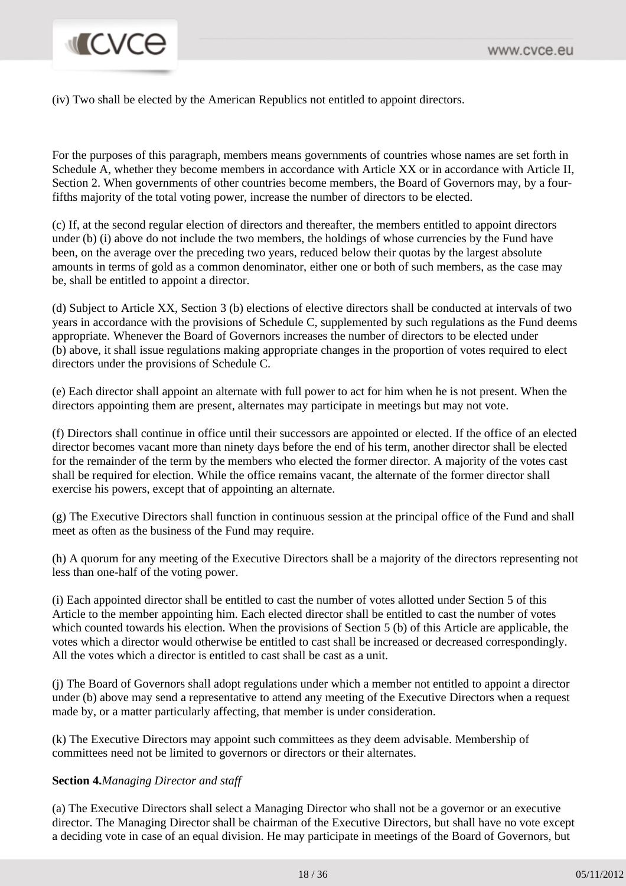(iv) Two shall be elected by the American Republics not entitled to appoint directors.

For the purposes of this paragraph, members means governments of countries whose names are set forth in Schedule A, whether they become members in accordance with Article XX or in accordance with Article II, Section 2. When governments of other countries become members, the Board of Governors may, by a fourfifths majority of the total voting power, increase the number of directors to be elected.

(c) If, at the second regular election of directors and thereafter, the members entitled to appoint directors under (b) (i) above do not include the two members, the holdings of whose currencies by the Fund have been, on the average over the preceding two years, reduced below their quotas by the largest absolute amounts in terms of gold as a common denominator, either one or both of such members, as the case may be, shall be entitled to appoint a director.

(d) Subject to Article XX, Section 3 (b) elections of elective directors shall be conducted at intervals of two years in accordance with the provisions of Schedule C, supplemented by such regulations as the Fund deems appropriate. Whenever the Board of Governors increases the number of directors to be elected under (b) above, it shall issue regulations making appropriate changes in the proportion of votes required to elect directors under the provisions of Schedule C.

(e) Each director shall appoint an alternate with full power to act for him when he is not present. When the directors appointing them are present, alternates may participate in meetings but may not vote.

(f) Directors shall continue in office until their successors are appointed or elected. If the office of an elected director becomes vacant more than ninety days before the end of his term, another director shall be elected for the remainder of the term by the members who elected the former director. A majority of the votes cast shall be required for election. While the office remains vacant, the alternate of the former director shall exercise his powers, except that of appointing an alternate.

(g) The Executive Directors shall function in continuous session at the principal office of the Fund and shall meet as often as the business of the Fund may require.

(h) A quorum for any meeting of the Executive Directors shall be a majority of the directors representing not less than one-half of the voting power.

(i) Each appointed director shall be entitled to cast the number of votes allotted under Section 5 of this Article to the member appointing him. Each elected director shall be entitled to cast the number of votes which counted towards his election. When the provisions of Section 5 (b) of this Article are applicable, the votes which a director would otherwise be entitled to cast shall be increased or decreased correspondingly. All the votes which a director is entitled to cast shall be cast as a unit.

(j) The Board of Governors shall adopt regulations under which a member not entitled to appoint a director under (b) above may send a representative to attend any meeting of the Executive Directors when a request made by, or a matter particularly affecting, that member is under consideration.

(k) The Executive Directors may appoint such committees as they deem advisable. Membership of committees need not be limited to governors or directors or their alternates.

## **Section 4.***Managing Director and staff*

(a) The Executive Directors shall select a Managing Director who shall not be a governor or an executive director. The Managing Director shall be chairman of the Executive Directors, but shall have no vote except a deciding vote in case of an equal division. He may participate in meetings of the Board of Governors, but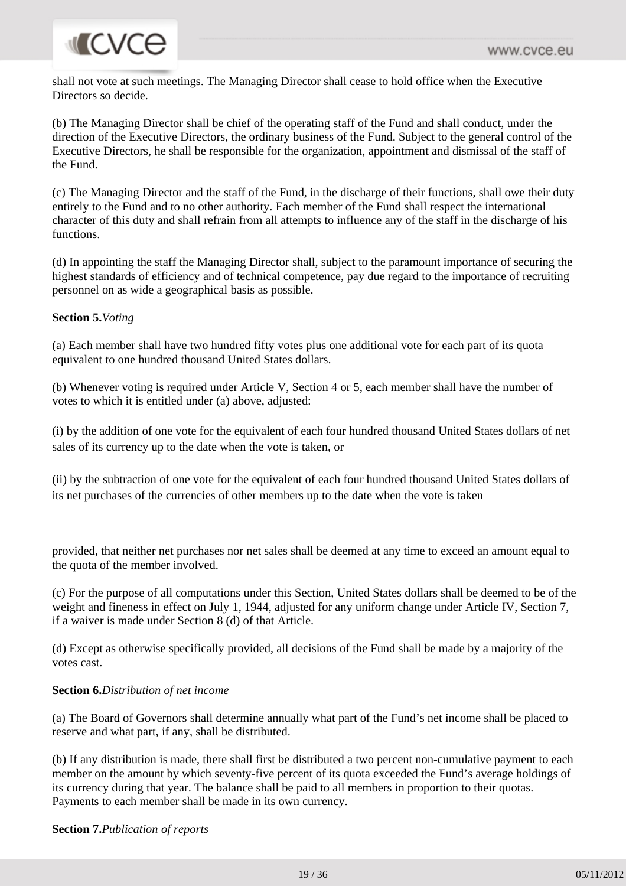# **ILCVCe**

shall not vote at such meetings. The Managing Director shall cease to hold office when the Executive Directors so decide.

(b) The Managing Director shall be chief of the operating staff of the Fund and shall conduct, under the direction of the Executive Directors, the ordinary business of the Fund. Subject to the general control of the Executive Directors, he shall be responsible for the organization, appointment and dismissal of the staff of the Fund.

(c) The Managing Director and the staff of the Fund, in the discharge of their functions, shall owe their duty entirely to the Fund and to no other authority. Each member of the Fund shall respect the international character of this duty and shall refrain from all attempts to influence any of the staff in the discharge of his functions.

(d) In appointing the staff the Managing Director shall, subject to the paramount importance of securing the highest standards of efficiency and of technical competence, pay due regard to the importance of recruiting personnel on as wide a geographical basis as possible.

## **Section 5.***Voting*

(a) Each member shall have two hundred fifty votes plus one additional vote for each part of its quota equivalent to one hundred thousand United States dollars.

(b) Whenever voting is required under Article V, Section 4 or 5, each member shall have the number of votes to which it is entitled under (a) above, adjusted:

(i) by the addition of one vote for the equivalent of each four hundred thousand United States dollars of net sales of its currency up to the date when the vote is taken, or

(ii) by the subtraction of one vote for the equivalent of each four hundred thousand United States dollars of its net purchases of the currencies of other members up to the date when the vote is taken

provided, that neither net purchases nor net sales shall be deemed at any time to exceed an amount equal to the quota of the member involved.

(c) For the purpose of all computations under this Section, United States dollars shall be deemed to be of the weight and fineness in effect on July 1, 1944, adjusted for any uniform change under Article IV, Section 7, if a waiver is made under Section 8 (d) of that Article.

(d) Except as otherwise specifically provided, all decisions of the Fund shall be made by a majority of the votes cast.

## **Section 6.***Distribution of net income*

(a) The Board of Governors shall determine annually what part of the Fund's net income shall be placed to reserve and what part, if any, shall be distributed.

(b) If any distribution is made, there shall first be distributed a two percent non-cumulative payment to each member on the amount by which seventy-five percent of its quota exceeded the Fund's average holdings of its currency during that year. The balance shall be paid to all members in proportion to their quotas. Payments to each member shall be made in its own currency.

## **Section 7.***Publication of reports*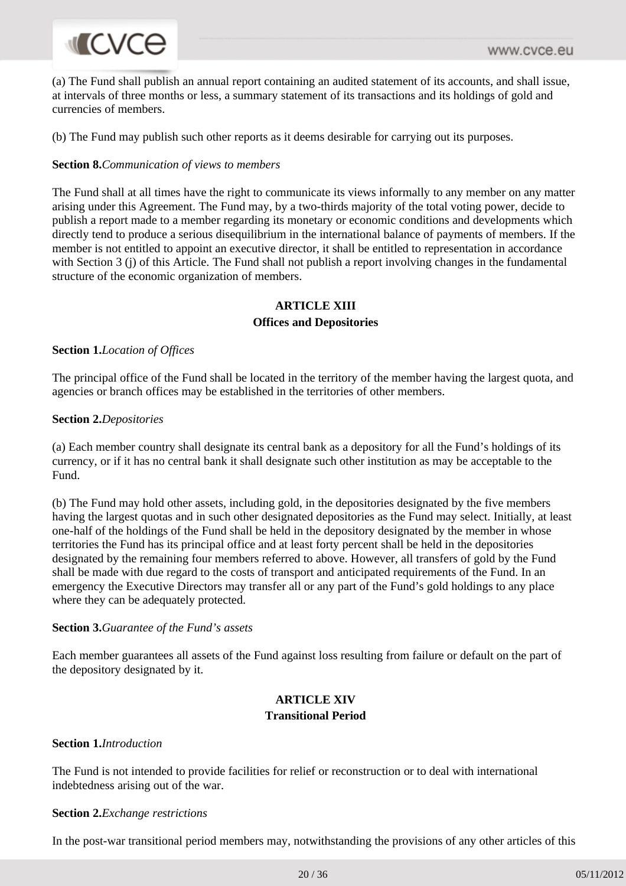

(a) The Fund shall publish an annual report containing an audited statement of its accounts, and shall issue, at intervals of three months or less, a summary statement of its transactions and its holdings of gold and currencies of members.

(b) The Fund may publish such other reports as it deems desirable for carrying out its purposes.

## **Section 8.***Communication of views to members*

The Fund shall at all times have the right to communicate its views informally to any member on any matter arising under this Agreement. The Fund may, by a two-thirds majority of the total voting power, decide to publish a report made to a member regarding its monetary or economic conditions and developments which directly tend to produce a serious disequilibrium in the international balance of payments of members. If the member is not entitled to appoint an executive director, it shall be entitled to representation in accordance with Section 3 (j) of this Article. The Fund shall not publish a report involving changes in the fundamental structure of the economic organization of members.

## **ARTICLE XIII Offices and Depositories**

#### **Section 1.***Location of Offices*

The principal office of the Fund shall be located in the territory of the member having the largest quota, and agencies or branch offices may be established in the territories of other members.

#### **Section 2.***Depositories*

(a) Each member country shall designate its central bank as a depository for all the Fund's holdings of its currency, or if it has no central bank it shall designate such other institution as may be acceptable to the Fund.

(b) The Fund may hold other assets, including gold, in the depositories designated by the five members having the largest quotas and in such other designated depositories as the Fund may select. Initially, at least one-half of the holdings of the Fund shall be held in the depository designated by the member in whose territories the Fund has its principal office and at least forty percent shall be held in the depositories designated by the remaining four members referred to above. However, all transfers of gold by the Fund shall be made with due regard to the costs of transport and anticipated requirements of the Fund. In an emergency the Executive Directors may transfer all or any part of the Fund's gold holdings to any place where they can be adequately protected.

#### **Section 3.***Guarantee of the Fund's assets*

Each member guarantees all assets of the Fund against loss resulting from failure or default on the part of the depository designated by it.

## **ARTICLE XIV Transitional Period**

#### **Section 1.***Introduction*

The Fund is not intended to provide facilities for relief or reconstruction or to deal with international indebtedness arising out of the war.

#### **Section 2.***Exchange restrictions*

In the post-war transitional period members may, notwithstanding the provisions of any other articles of this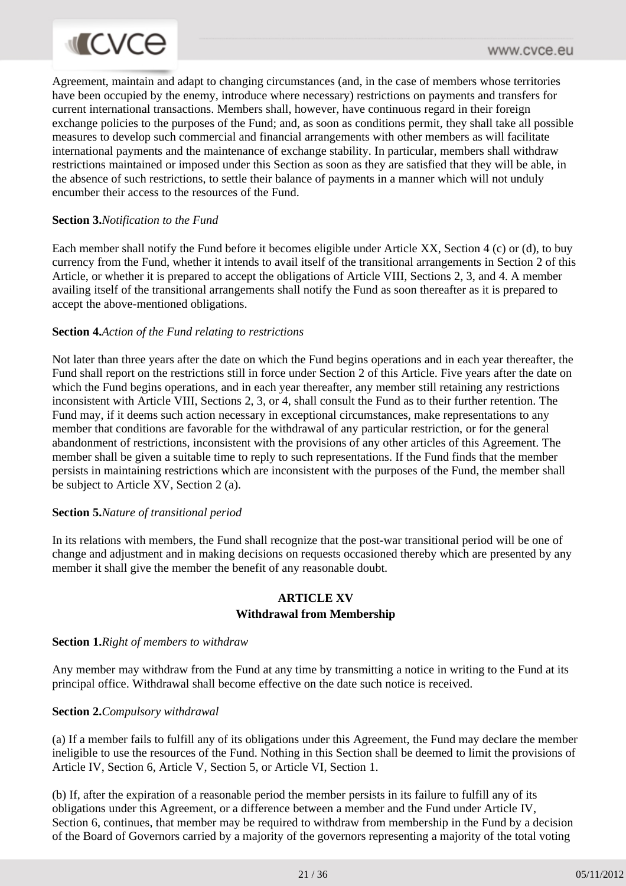

Agreement, maintain and adapt to changing circumstances (and, in the case of members whose territories have been occupied by the enemy, introduce where necessary) restrictions on payments and transfers for current international transactions. Members shall, however, have continuous regard in their foreign exchange policies to the purposes of the Fund; and, as soon as conditions permit, they shall take all possible measures to develop such commercial and financial arrangements with other members as will facilitate international payments and the maintenance of exchange stability. In particular, members shall withdraw restrictions maintained or imposed under this Section as soon as they are satisfied that they will be able, in the absence of such restrictions, to settle their balance of payments in a manner which will not unduly encumber their access to the resources of the Fund.

#### **Section 3.***Notification to the Fund*

Each member shall notify the Fund before it becomes eligible under Article XX, Section 4 (c) or (d), to buy currency from the Fund, whether it intends to avail itself of the transitional arrangements in Section 2 of this Article, or whether it is prepared to accept the obligations of Article VIII, Sections 2, 3, and 4. A member availing itself of the transitional arrangements shall notify the Fund as soon thereafter as it is prepared to accept the above-mentioned obligations.

#### **Section 4.***Action of the Fund relating to restrictions*

Not later than three years after the date on which the Fund begins operations and in each year thereafter, the Fund shall report on the restrictions still in force under Section 2 of this Article. Five years after the date on which the Fund begins operations, and in each year thereafter, any member still retaining any restrictions inconsistent with Article VIII, Sections 2, 3, or 4, shall consult the Fund as to their further retention. The Fund may, if it deems such action necessary in exceptional circumstances, make representations to any member that conditions are favorable for the withdrawal of any particular restriction, or for the general abandonment of restrictions, inconsistent with the provisions of any other articles of this Agreement. The member shall be given a suitable time to reply to such representations. If the Fund finds that the member persists in maintaining restrictions which are inconsistent with the purposes of the Fund, the member shall be subject to Article XV, Section 2 (a).

#### **Section 5.***Nature of transitional period*

In its relations with members, the Fund shall recognize that the post-war transitional period will be one of change and adjustment and in making decisions on requests occasioned thereby which are presented by any member it shall give the member the benefit of any reasonable doubt.

## **ARTICLE XV Withdrawal from Membership**

#### **Section 1.***Right of members to withdraw*

Any member may withdraw from the Fund at any time by transmitting a notice in writing to the Fund at its principal office. Withdrawal shall become effective on the date such notice is received.

#### **Section 2.***Compulsory withdrawal*

(a) If a member fails to fulfill any of its obligations under this Agreement, the Fund may declare the member ineligible to use the resources of the Fund. Nothing in this Section shall be deemed to limit the provisions of Article IV, Section 6, Article V, Section 5, or Article VI, Section 1.

(b) If, after the expiration of a reasonable period the member persists in its failure to fulfill any of its obligations under this Agreement, or a difference between a member and the Fund under Article IV, Section 6, continues, that member may be required to withdraw from membership in the Fund by a decision of the Board of Governors carried by a majority of the governors representing a majority of the total voting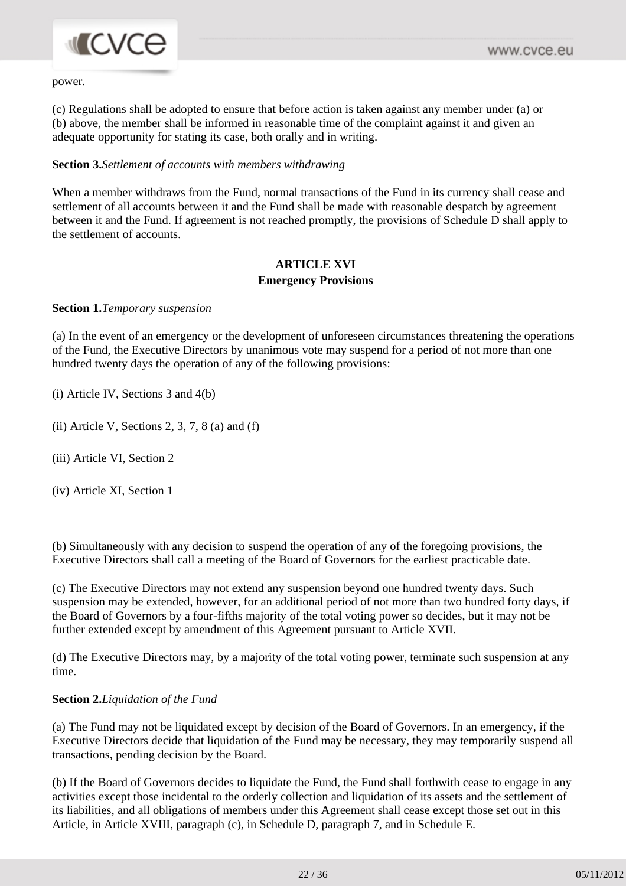

#### power.

(c) Regulations shall be adopted to ensure that before action is taken against any member under (a) or (b) above, the member shall be informed in reasonable time of the complaint against it and given an adequate opportunity for stating its case, both orally and in writing.

#### **Section 3.***Settlement of accounts with members withdrawing*

When a member withdraws from the Fund, normal transactions of the Fund in its currency shall cease and settlement of all accounts between it and the Fund shall be made with reasonable despatch by agreement between it and the Fund. If agreement is not reached promptly, the provisions of Schedule D shall apply to the settlement of accounts.

## **ARTICLE XVI**

## **Emergency Provisions**

#### **Section 1.***Temporary suspension*

(a) In the event of an emergency or the development of unforeseen circumstances threatening the operations of the Fund, the Executive Directors by unanimous vote may suspend for a period of not more than one hundred twenty days the operation of any of the following provisions:

(i) Article IV, Sections 3 and 4(b)

(ii) Article V, Sections 2, 3, 7, 8 (a) and  $(f)$ 

(iii) Article VI, Section 2

(iv) Article XI, Section 1

(b) Simultaneously with any decision to suspend the operation of any of the foregoing provisions, the Executive Directors shall call a meeting of the Board of Governors for the earliest practicable date.

(c) The Executive Directors may not extend any suspension beyond one hundred twenty days. Such suspension may be extended, however, for an additional period of not more than two hundred forty days, if the Board of Governors by a four-fifths majority of the total voting power so decides, but it may not be further extended except by amendment of this Agreement pursuant to Article XVII.

(d) The Executive Directors may, by a majority of the total voting power, terminate such suspension at any time.

## **Section 2.***Liquidation of the Fund*

(a) The Fund may not be liquidated except by decision of the Board of Governors. In an emergency, if the Executive Directors decide that liquidation of the Fund may be necessary, they may temporarily suspend all transactions, pending decision by the Board.

(b) If the Board of Governors decides to liquidate the Fund, the Fund shall forthwith cease to engage in any activities except those incidental to the orderly collection and liquidation of its assets and the settlement of its liabilities, and all obligations of members under this Agreement shall cease except those set out in this Article, in Article XVIII, paragraph (c), in Schedule D, paragraph 7, and in Schedule E.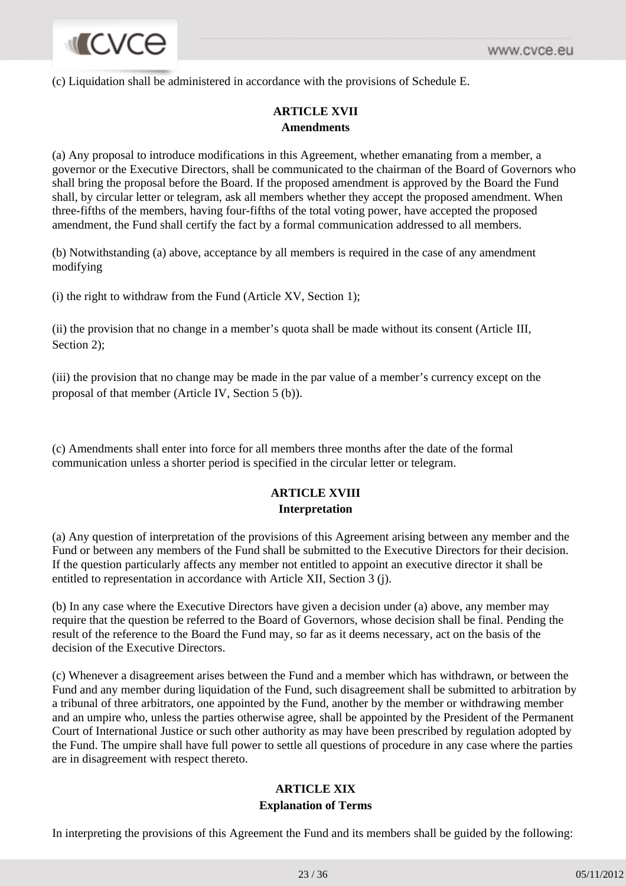

(c) Liquidation shall be administered in accordance with the provisions of Schedule E.

## **ARTICLE XVII Amendments**

(a) Any proposal to introduce modifications in this Agreement, whether emanating from a member, a governor or the Executive Directors, shall be communicated to the chairman of the Board of Governors who shall bring the proposal before the Board. If the proposed amendment is approved by the Board the Fund shall, by circular letter or telegram, ask all members whether they accept the proposed amendment. When three-fifths of the members, having four-fifths of the total voting power, have accepted the proposed amendment, the Fund shall certify the fact by a formal communication addressed to all members.

(b) Notwithstanding (a) above, acceptance by all members is required in the case of any amendment modifying

(i) the right to withdraw from the Fund (Article XV, Section 1);

(ii) the provision that no change in a member's quota shall be made without its consent (Article III, Section 2):

(iii) the provision that no change may be made in the par value of a member's currency except on the proposal of that member (Article IV, Section 5 (b)).

(c) Amendments shall enter into force for all members three months after the date of the formal communication unless a shorter period is specified in the circular letter or telegram.

## **ARTICLE XVIII Interpretation**

(a) Any question of interpretation of the provisions of this Agreement arising between any member and the Fund or between any members of the Fund shall be submitted to the Executive Directors for their decision. If the question particularly affects any member not entitled to appoint an executive director it shall be entitled to representation in accordance with Article XII, Section 3 (j).

(b) In any case where the Executive Directors have given a decision under (a) above, any member may require that the question be referred to the Board of Governors, whose decision shall be final. Pending the result of the reference to the Board the Fund may, so far as it deems necessary, act on the basis of the decision of the Executive Directors.

(c) Whenever a disagreement arises between the Fund and a member which has withdrawn, or between the Fund and any member during liquidation of the Fund, such disagreement shall be submitted to arbitration by a tribunal of three arbitrators, one appointed by the Fund, another by the member or withdrawing member and an umpire who, unless the parties otherwise agree, shall be appointed by the President of the Permanent Court of International Justice or such other authority as may have been prescribed by regulation adopted by the Fund. The umpire shall have full power to settle all questions of procedure in any case where the parties are in disagreement with respect thereto.

## **ARTICLE XIX**

#### **Explanation of Terms**

In interpreting the provisions of this Agreement the Fund and its members shall be guided by the following: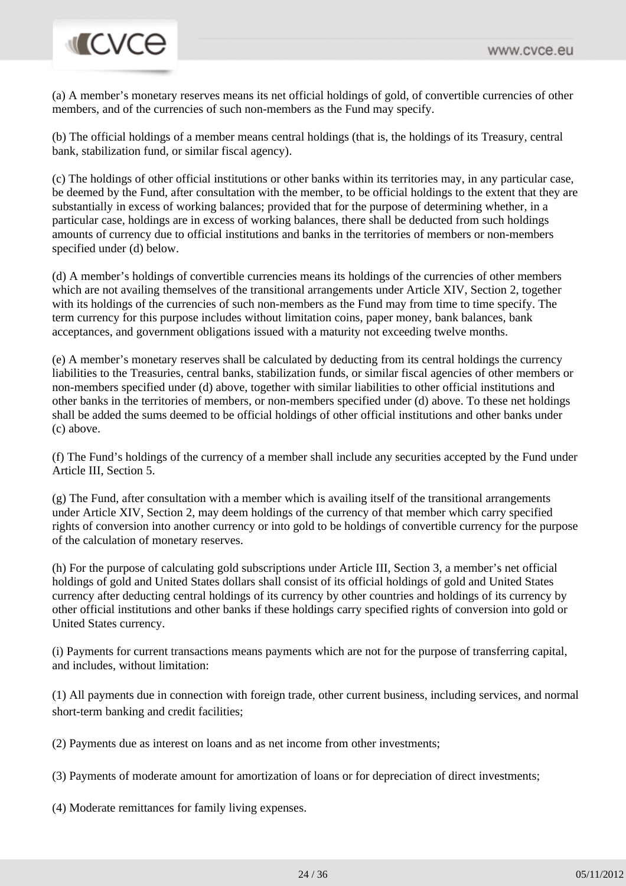(a) A member's monetary reserves means its net official holdings of gold, of convertible currencies of other members, and of the currencies of such non-members as the Fund may specify.

(b) The official holdings of a member means central holdings (that is, the holdings of its Treasury, central bank, stabilization fund, or similar fiscal agency).

(c) The holdings of other official institutions or other banks within its territories may, in any particular case, be deemed by the Fund, after consultation with the member, to be official holdings to the extent that they are substantially in excess of working balances; provided that for the purpose of determining whether, in a particular case, holdings are in excess of working balances, there shall be deducted from such holdings amounts of currency due to official institutions and banks in the territories of members or non-members specified under (d) below.

(d) A member's holdings of convertible currencies means its holdings of the currencies of other members which are not availing themselves of the transitional arrangements under Article XIV, Section 2, together with its holdings of the currencies of such non-members as the Fund may from time to time specify. The term currency for this purpose includes without limitation coins, paper money, bank balances, bank acceptances, and government obligations issued with a maturity not exceeding twelve months.

(e) A member's monetary reserves shall be calculated by deducting from its central holdings the currency liabilities to the Treasuries, central banks, stabilization funds, or similar fiscal agencies of other members or non-members specified under (d) above, together with similar liabilities to other official institutions and other banks in the territories of members, or non-members specified under (d) above. To these net holdings shall be added the sums deemed to be official holdings of other official institutions and other banks under (c) above.

(f) The Fund's holdings of the currency of a member shall include any securities accepted by the Fund under Article III, Section 5.

(g) The Fund, after consultation with a member which is availing itself of the transitional arrangements under Article XIV, Section 2, may deem holdings of the currency of that member which carry specified rights of conversion into another currency or into gold to be holdings of convertible currency for the purpose of the calculation of monetary reserves.

(h) For the purpose of calculating gold subscriptions under Article III, Section 3, a member's net official holdings of gold and United States dollars shall consist of its official holdings of gold and United States currency after deducting central holdings of its currency by other countries and holdings of its currency by other official institutions and other banks if these holdings carry specified rights of conversion into gold or United States currency.

(i) Payments for current transactions means payments which are not for the purpose of transferring capital, and includes, without limitation:

(1) All payments due in connection with foreign trade, other current business, including services, and normal short-term banking and credit facilities;

(2) Payments due as interest on loans and as net income from other investments;

(3) Payments of moderate amount for amortization of loans or for depreciation of direct investments;

(4) Moderate remittances for family living expenses.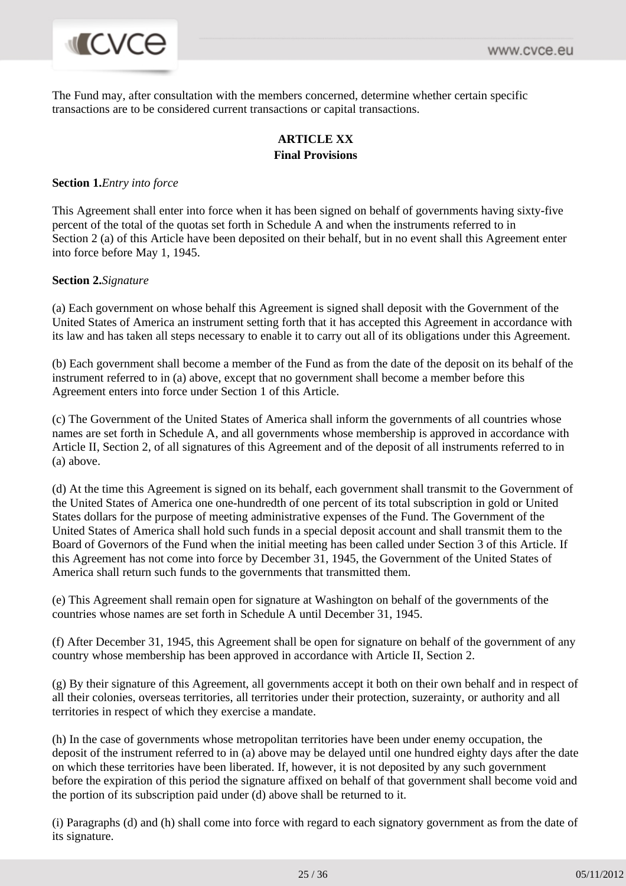

The Fund may, after consultation with the members concerned, determine whether certain specific transactions are to be considered current transactions or capital transactions.

## **ARTICLE XX Final Provisions**

**Section 1.***Entry into force*

This Agreement shall enter into force when it has been signed on behalf of governments having sixty-five percent of the total of the quotas set forth in Schedule A and when the instruments referred to in Section 2 (a) of this Article have been deposited on their behalf, but in no event shall this Agreement enter into force before May 1, 1945.

## **Section 2.***Signature*

(a) Each government on whose behalf this Agreement is signed shall deposit with the Government of the United States of America an instrument setting forth that it has accepted this Agreement in accordance with its law and has taken all steps necessary to enable it to carry out all of its obligations under this Agreement.

(b) Each government shall become a member of the Fund as from the date of the deposit on its behalf of the instrument referred to in (a) above, except that no government shall become a member before this Agreement enters into force under Section 1 of this Article.

(c) The Government of the United States of America shall inform the governments of all countries whose names are set forth in Schedule A, and all governments whose membership is approved in accordance with Article II, Section 2, of all signatures of this Agreement and of the deposit of all instruments referred to in (a) above.

(d) At the time this Agreement is signed on its behalf, each government shall transmit to the Government of the United States of America one one-hundredth of one percent of its total subscription in gold or United States dollars for the purpose of meeting administrative expenses of the Fund. The Government of the United States of America shall hold such funds in a special deposit account and shall transmit them to the Board of Governors of the Fund when the initial meeting has been called under Section 3 of this Article. If this Agreement has not come into force by December 31, 1945, the Government of the United States of America shall return such funds to the governments that transmitted them.

(e) This Agreement shall remain open for signature at Washington on behalf of the governments of the countries whose names are set forth in Schedule A until December 31, 1945.

(f) After December 31, 1945, this Agreement shall be open for signature on behalf of the government of any country whose membership has been approved in accordance with Article II, Section 2.

(g) By their signature of this Agreement, all governments accept it both on their own behalf and in respect of all their colonies, overseas territories, all territories under their protection, suzerainty, or authority and all territories in respect of which they exercise a mandate.

(h) In the case of governments whose metropolitan territories have been under enemy occupation, the deposit of the instrument referred to in (a) above may be delayed until one hundred eighty days after the date on which these territories have been liberated. If, however, it is not deposited by any such government before the expiration of this period the signature affixed on behalf of that government shall become void and the portion of its subscription paid under (d) above shall be returned to it.

(i) Paragraphs (d) and (h) shall come into force with regard to each signatory government as from the date of its signature.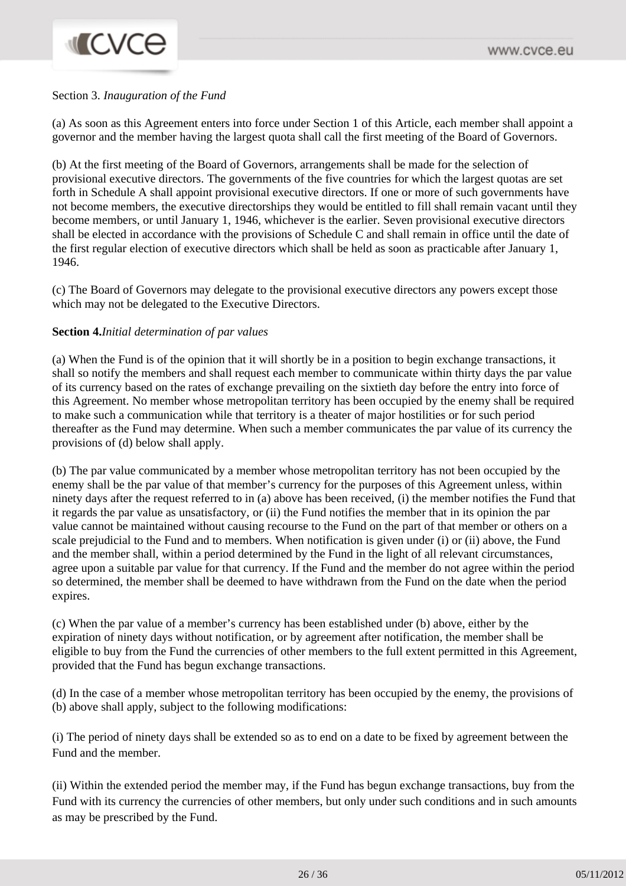## Section 3. *Inauguration of the Fund*

(a) As soon as this Agreement enters into force under Section 1 of this Article, each member shall appoint a governor and the member having the largest quota shall call the first meeting of the Board of Governors.

(b) At the first meeting of the Board of Governors, arrangements shall be made for the selection of provisional executive directors. The governments of the five countries for which the largest quotas are set forth in Schedule A shall appoint provisional executive directors. If one or more of such governments have not become members, the executive directorships they would be entitled to fill shall remain vacant until they become members, or until January 1, 1946, whichever is the earlier. Seven provisional executive directors shall be elected in accordance with the provisions of Schedule C and shall remain in office until the date of the first regular election of executive directors which shall be held as soon as practicable after January 1, 1946.

(c) The Board of Governors may delegate to the provisional executive directors any powers except those which may not be delegated to the Executive Directors.

## **Section 4.***Initial determination of par values*

(a) When the Fund is of the opinion that it will shortly be in a position to begin exchange transactions, it shall so notify the members and shall request each member to communicate within thirty days the par value of its currency based on the rates of exchange prevailing on the sixtieth day before the entry into force of this Agreement. No member whose metropolitan territory has been occupied by the enemy shall be required to make such a communication while that territory is a theater of major hostilities or for such period thereafter as the Fund may determine. When such a member communicates the par value of its currency the provisions of (d) below shall apply.

(b) The par value communicated by a member whose metropolitan territory has not been occupied by the enemy shall be the par value of that member's currency for the purposes of this Agreement unless, within ninety days after the request referred to in (a) above has been received, (i) the member notifies the Fund that it regards the par value as unsatisfactory, or (ii) the Fund notifies the member that in its opinion the par value cannot be maintained without causing recourse to the Fund on the part of that member or others on a scale prejudicial to the Fund and to members. When notification is given under (i) or (ii) above, the Fund and the member shall, within a period determined by the Fund in the light of all relevant circumstances, agree upon a suitable par value for that currency. If the Fund and the member do not agree within the period so determined, the member shall be deemed to have withdrawn from the Fund on the date when the period expires.

(c) When the par value of a member's currency has been established under (b) above, either by the expiration of ninety days without notification, or by agreement after notification, the member shall be eligible to buy from the Fund the currencies of other members to the full extent permitted in this Agreement, provided that the Fund has begun exchange transactions.

(d) In the case of a member whose metropolitan territory has been occupied by the enemy, the provisions of (b) above shall apply, subject to the following modifications:

(i) The period of ninety days shall be extended so as to end on a date to be fixed by agreement between the Fund and the member.

(ii) Within the extended period the member may, if the Fund has begun exchange transactions, buy from the Fund with its currency the currencies of other members, but only under such conditions and in such amounts as may be prescribed by the Fund.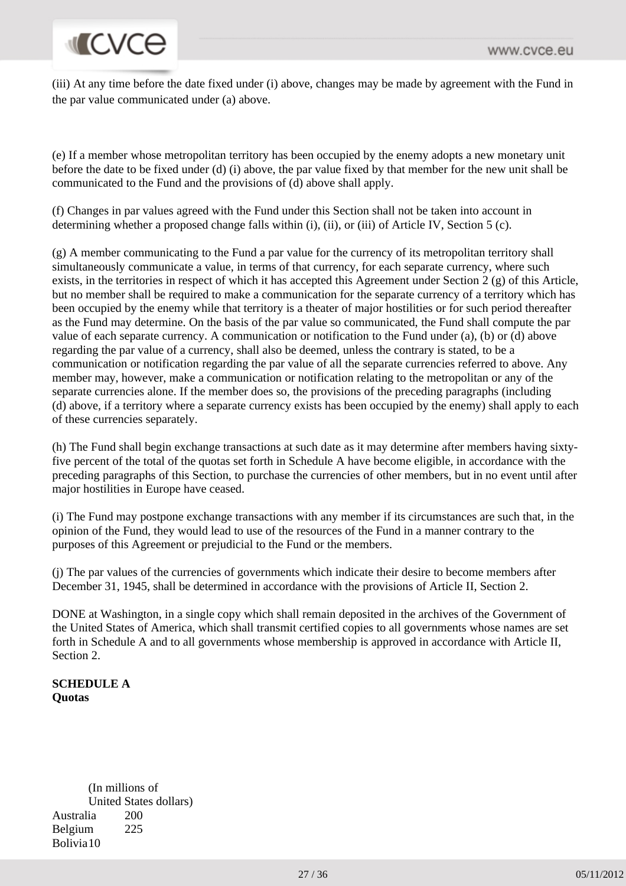# **MICVCE**

(iii) At any time before the date fixed under (i) above, changes may be made by agreement with the Fund in the par value communicated under (a) above.

(e) If a member whose metropolitan territory has been occupied by the enemy adopts a new monetary unit before the date to be fixed under (d) (i) above, the par value fixed by that member for the new unit shall be communicated to the Fund and the provisions of (d) above shall apply.

(f) Changes in par values agreed with the Fund under this Section shall not be taken into account in determining whether a proposed change falls within (i), (ii), or (iii) of Article IV, Section 5 (c).

(g) A member communicating to the Fund a par value for the currency of its metropolitan territory shall simultaneously communicate a value, in terms of that currency, for each separate currency, where such exists, in the territories in respect of which it has accepted this Agreement under Section 2 (g) of this Article, but no member shall be required to make a communication for the separate currency of a territory which has been occupied by the enemy while that territory is a theater of major hostilities or for such period thereafter as the Fund may determine. On the basis of the par value so communicated, the Fund shall compute the par value of each separate currency. A communication or notification to the Fund under (a), (b) or (d) above regarding the par value of a currency, shall also be deemed, unless the contrary is stated, to be a communication or notification regarding the par value of all the separate currencies referred to above. Any member may, however, make a communication or notification relating to the metropolitan or any of the separate currencies alone. If the member does so, the provisions of the preceding paragraphs (including (d) above, if a territory where a separate currency exists has been occupied by the enemy) shall apply to each of these currencies separately.

(h) The Fund shall begin exchange transactions at such date as it may determine after members having sixtyfive percent of the total of the quotas set forth in Schedule A have become eligible, in accordance with the preceding paragraphs of this Section, to purchase the currencies of other members, but in no event until after major hostilities in Europe have ceased.

(i) The Fund may postpone exchange transactions with any member if its circumstances are such that, in the opinion of the Fund, they would lead to use of the resources of the Fund in a manner contrary to the purposes of this Agreement or prejudicial to the Fund or the members.

(j) The par values of the currencies of governments which indicate their desire to become members after December 31, 1945, shall be determined in accordance with the provisions of Article II, Section 2.

DONE at Washington, in a single copy which shall remain deposited in the archives of the Government of the United States of America, which shall transmit certified copies to all governments whose names are set forth in Schedule A and to all governments whose membership is approved in accordance with Article II, Section 2.

## **SCHEDULE A Quotas**

(In millions of United States dollars) Australia 200 Belgium 225 Bolivia10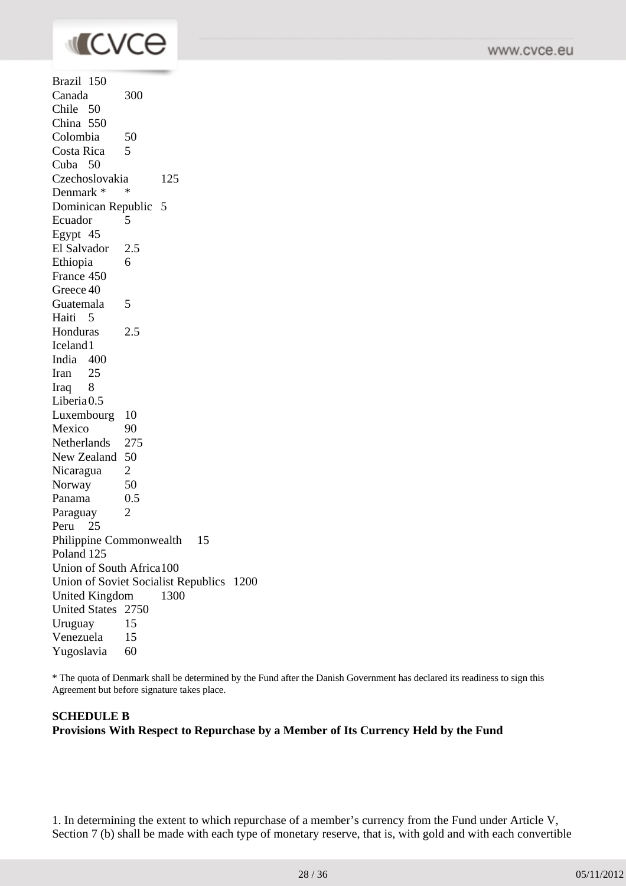**INCVCO** 

Brazil 150 Canada 300 Chile 50 China 550 Colombia 50 Costa Rica 5 Cuba 50 Czechoslovakia 125 Denmark \* \* Dominican Republic 5 Ecuador 5 Egypt 45 El Salvador 2.5 Ethiopia 6 France 450 Greece 40 Guatemala 5 Haiti 5 Honduras 2.5 Iceland1 India 400 Iran 25 Iraq 8 Liberia0.5 Luxembourg 10 Mexico 90 Netherlands 275 New Zealand 50 Nicaragua 2 Norway 50 Panama 0.5 Paraguay 2 Peru 25 Philippine Commonwealth 15 Poland 125 Union of South Africa100 Union of Soviet Socialist Republics 1200 United Kingdom 1300 United States 2750 Uruguay 15 Venezuela 15 Yugoslavia 60

\* The quota of Denmark shall be determined by the Fund after the Danish Government has declared its readiness to sign this Agreement but before signature takes place.

#### **SCHEDULE B**

**Provisions With Respect to Repurchase by a Member of Its Currency Held by the Fund**

1. In determining the extent to which repurchase of a member's currency from the Fund under Article V, Section 7 (b) shall be made with each type of monetary reserve, that is, with gold and with each convertible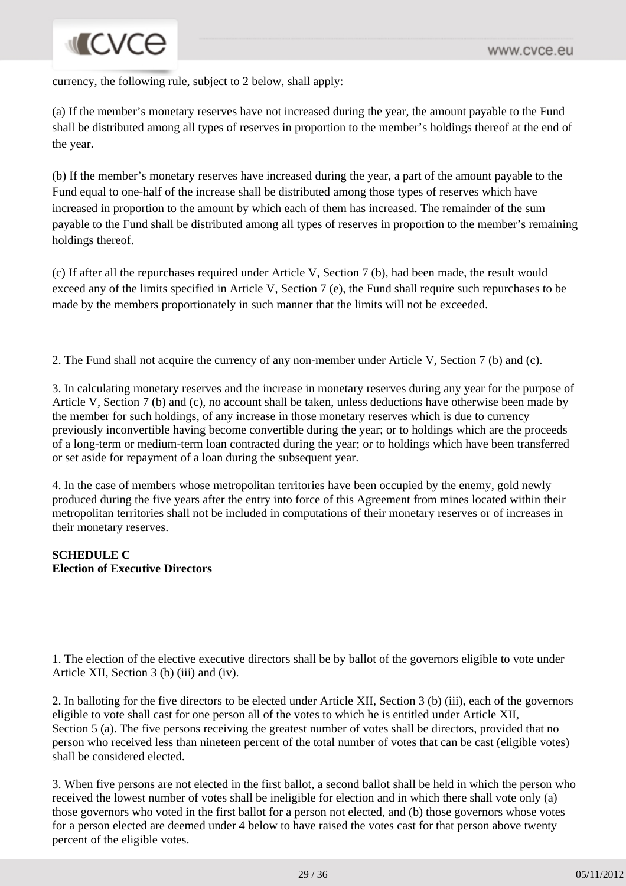# **ILCVCe**

currency, the following rule, subject to 2 below, shall apply:

(a) If the member's monetary reserves have not increased during the year, the amount payable to the Fund shall be distributed among all types of reserves in proportion to the member's holdings thereof at the end of the year.

(b) If the member's monetary reserves have increased during the year, a part of the amount payable to the Fund equal to one-half of the increase shall be distributed among those types of reserves which have increased in proportion to the amount by which each of them has increased. The remainder of the sum payable to the Fund shall be distributed among all types of reserves in proportion to the member's remaining holdings thereof.

(c) If after all the repurchases required under Article V, Section 7 (b), had been made, the result would exceed any of the limits specified in Article V, Section 7 (e), the Fund shall require such repurchases to be made by the members proportionately in such manner that the limits will not be exceeded.

2. The Fund shall not acquire the currency of any non-member under Article V, Section 7 (b) and (c).

3. In calculating monetary reserves and the increase in monetary reserves during any year for the purpose of Article V, Section 7 (b) and (c), no account shall be taken, unless deductions have otherwise been made by the member for such holdings, of any increase in those monetary reserves which is due to currency previously inconvertible having become convertible during the year; or to holdings which are the proceeds of a long-term or medium-term loan contracted during the year; or to holdings which have been transferred or set aside for repayment of a loan during the subsequent year.

4. In the case of members whose metropolitan territories have been occupied by the enemy, gold newly produced during the five years after the entry into force of this Agreement from mines located within their metropolitan territories shall not be included in computations of their monetary reserves or of increases in their monetary reserves.

## **SCHEDULE C Election of Executive Directors**

1. The election of the elective executive directors shall be by ballot of the governors eligible to vote under Article XII, Section 3 (b) (iii) and (iv).

2. In balloting for the five directors to be elected under Article XII, Section 3 (b) (iii), each of the governors eligible to vote shall cast for one person all of the votes to which he is entitled under Article XII, Section 5 (a). The five persons receiving the greatest number of votes shall be directors, provided that no person who received less than nineteen percent of the total number of votes that can be cast (eligible votes) shall be considered elected.

3. When five persons are not elected in the first ballot, a second ballot shall be held in which the person who received the lowest number of votes shall be ineligible for election and in which there shall vote only (a) those governors who voted in the first ballot for a person not elected, and (b) those governors whose votes for a person elected are deemed under 4 below to have raised the votes cast for that person above twenty percent of the eligible votes.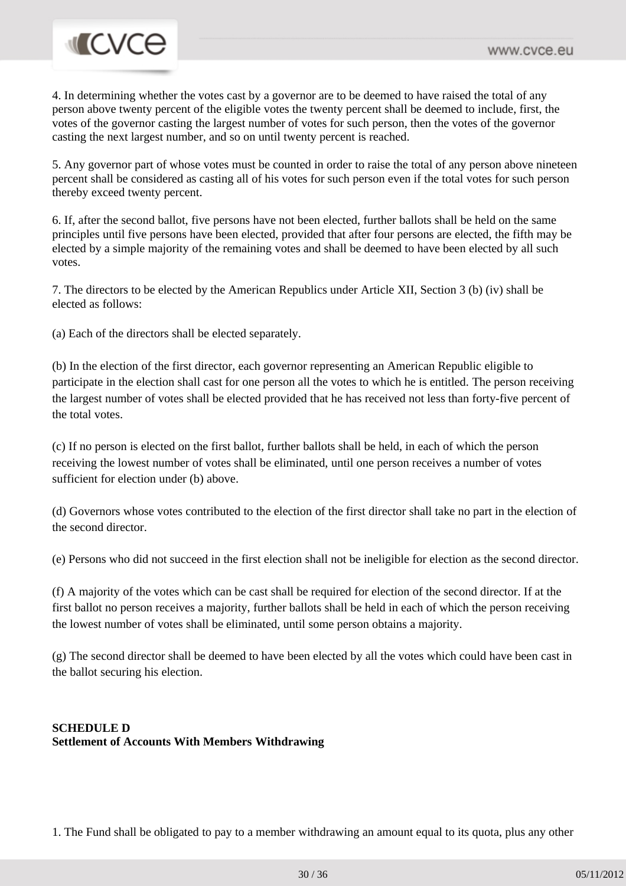

4. In determining whether the votes cast by a governor are to be deemed to have raised the total of any person above twenty percent of the eligible votes the twenty percent shall be deemed to include, first, the votes of the governor casting the largest number of votes for such person, then the votes of the governor casting the next largest number, and so on until twenty percent is reached.

5. Any governor part of whose votes must be counted in order to raise the total of any person above nineteen percent shall be considered as casting all of his votes for such person even if the total votes for such person thereby exceed twenty percent.

6. If, after the second ballot, five persons have not been elected, further ballots shall be held on the same principles until five persons have been elected, provided that after four persons are elected, the fifth may be elected by a simple majority of the remaining votes and shall be deemed to have been elected by all such votes.

7. The directors to be elected by the American Republics under Article XII, Section 3 (b) (iv) shall be elected as follows:

(a) Each of the directors shall be elected separately.

(b) In the election of the first director, each governor representing an American Republic eligible to participate in the election shall cast for one person all the votes to which he is entitled. The person receiving the largest number of votes shall be elected provided that he has received not less than forty-five percent of the total votes.

(c) If no person is elected on the first ballot, further ballots shall be held, in each of which the person receiving the lowest number of votes shall be eliminated, until one person receives a number of votes sufficient for election under (b) above.

(d) Governors whose votes contributed to the election of the first director shall take no part in the election of the second director.

(e) Persons who did not succeed in the first election shall not be ineligible for election as the second director.

(f) A majority of the votes which can be cast shall be required for election of the second director. If at the first ballot no person receives a majority, further ballots shall be held in each of which the person receiving the lowest number of votes shall be eliminated, until some person obtains a majority.

(g) The second director shall be deemed to have been elected by all the votes which could have been cast in the ballot securing his election.

## **SCHEDULE D Settlement of Accounts With Members Withdrawing**

1. The Fund shall be obligated to pay to a member withdrawing an amount equal to its quota, plus any other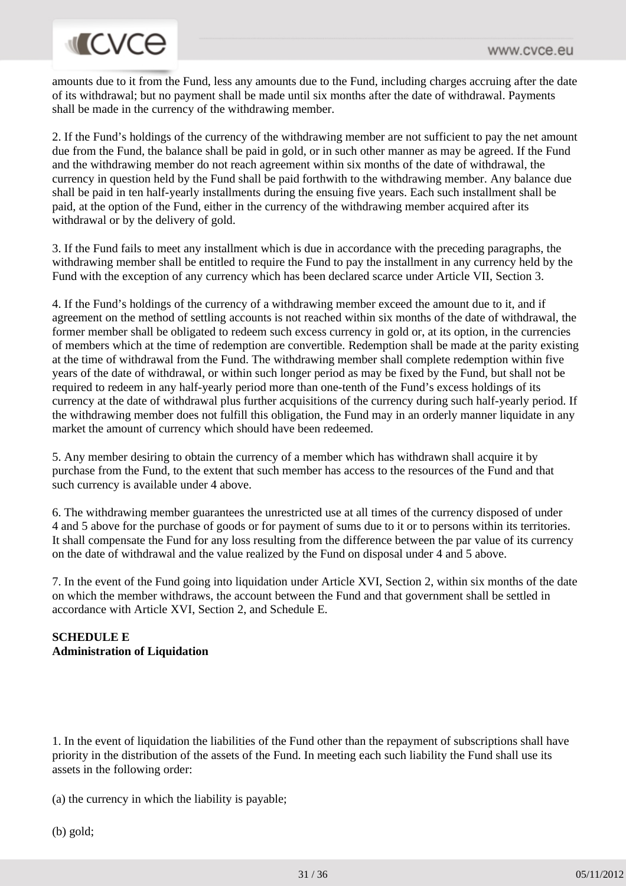# **INCVCe**

amounts due to it from the Fund, less any amounts due to the Fund, including charges accruing after the date of its withdrawal; but no payment shall be made until six months after the date of withdrawal. Payments shall be made in the currency of the withdrawing member.

2. If the Fund's holdings of the currency of the withdrawing member are not sufficient to pay the net amount due from the Fund, the balance shall be paid in gold, or in such other manner as may be agreed. If the Fund and the withdrawing member do not reach agreement within six months of the date of withdrawal, the currency in question held by the Fund shall be paid forthwith to the withdrawing member. Any balance due shall be paid in ten half-yearly installments during the ensuing five years. Each such installment shall be paid, at the option of the Fund, either in the currency of the withdrawing member acquired after its withdrawal or by the delivery of gold.

3. If the Fund fails to meet any installment which is due in accordance with the preceding paragraphs, the withdrawing member shall be entitled to require the Fund to pay the installment in any currency held by the Fund with the exception of any currency which has been declared scarce under Article VII, Section 3.

4. If the Fund's holdings of the currency of a withdrawing member exceed the amount due to it, and if agreement on the method of settling accounts is not reached within six months of the date of withdrawal, the former member shall be obligated to redeem such excess currency in gold or, at its option, in the currencies of members which at the time of redemption are convertible. Redemption shall be made at the parity existing at the time of withdrawal from the Fund. The withdrawing member shall complete redemption within five years of the date of withdrawal, or within such longer period as may be fixed by the Fund, but shall not be required to redeem in any half-yearly period more than one-tenth of the Fund's excess holdings of its currency at the date of withdrawal plus further acquisitions of the currency during such half-yearly period. If the withdrawing member does not fulfill this obligation, the Fund may in an orderly manner liquidate in any market the amount of currency which should have been redeemed.

5. Any member desiring to obtain the currency of a member which has withdrawn shall acquire it by purchase from the Fund, to the extent that such member has access to the resources of the Fund and that such currency is available under 4 above.

6. The withdrawing member guarantees the unrestricted use at all times of the currency disposed of under 4 and 5 above for the purchase of goods or for payment of sums due to it or to persons within its territories. It shall compensate the Fund for any loss resulting from the difference between the par value of its currency on the date of withdrawal and the value realized by the Fund on disposal under 4 and 5 above.

7. In the event of the Fund going into liquidation under Article XVI, Section 2, within six months of the date on which the member withdraws, the account between the Fund and that government shall be settled in accordance with Article XVI, Section 2, and Schedule E.

## **SCHEDULE E Administration of Liquidation**

1. In the event of liquidation the liabilities of the Fund other than the repayment of subscriptions shall have priority in the distribution of the assets of the Fund. In meeting each such liability the Fund shall use its assets in the following order:

(a) the currency in which the liability is payable;

(b) gold;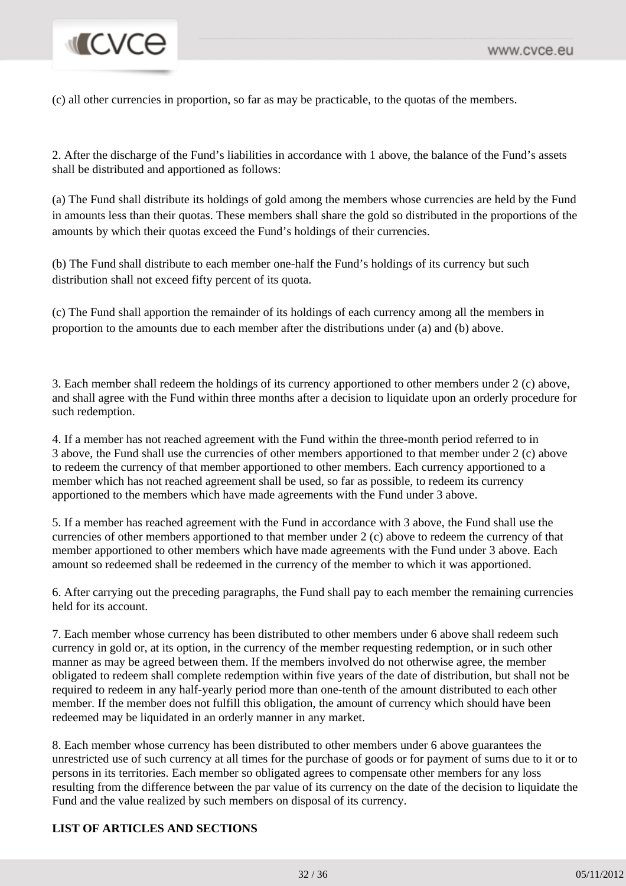

(c) all other currencies in proportion, so far as may be practicable, to the quotas of the members.

2. After the discharge of the Fund's liabilities in accordance with 1 above, the balance of the Fund's assets shall be distributed and apportioned as follows:

(a) The Fund shall distribute its holdings of gold among the members whose currencies are held by the Fund in amounts less than their quotas. These members shall share the gold so distributed in the proportions of the amounts by which their quotas exceed the Fund's holdings of their currencies.

(b) The Fund shall distribute to each member one-half the Fund's holdings of its currency but such distribution shall not exceed fifty percent of its quota.

(c) The Fund shall apportion the remainder of its holdings of each currency among all the members in proportion to the amounts due to each member after the distributions under (a) and (b) above.

3. Each member shall redeem the holdings of its currency apportioned to other members under 2 (c) above, and shall agree with the Fund within three months after a decision to liquidate upon an orderly procedure for such redemption.

4. If a member has not reached agreement with the Fund within the three-month period referred to in 3 above, the Fund shall use the currencies of other members apportioned to that member under 2 (c) above to redeem the currency of that member apportioned to other members. Each currency apportioned to a member which has not reached agreement shall be used, so far as possible, to redeem its currency apportioned to the members which have made agreements with the Fund under 3 above.

5. If a member has reached agreement with the Fund in accordance with 3 above, the Fund shall use the currencies of other members apportioned to that member under 2 (c) above to redeem the currency of that member apportioned to other members which have made agreements with the Fund under 3 above. Each amount so redeemed shall be redeemed in the currency of the member to which it was apportioned.

6. After carrying out the preceding paragraphs, the Fund shall pay to each member the remaining currencies held for its account.

7. Each member whose currency has been distributed to other members under 6 above shall redeem such currency in gold or, at its option, in the currency of the member requesting redemption, or in such other manner as may be agreed between them. If the members involved do not otherwise agree, the member obligated to redeem shall complete redemption within five years of the date of distribution, but shall not be required to redeem in any half-yearly period more than one-tenth of the amount distributed to each other member. If the member does not fulfill this obligation, the amount of currency which should have been redeemed may be liquidated in an orderly manner in any market.

8. Each member whose currency has been distributed to other members under 6 above guarantees the unrestricted use of such currency at all times for the purchase of goods or for payment of sums due to it or to persons in its territories. Each member so obligated agrees to compensate other members for any loss resulting from the difference between the par value of its currency on the date of the decision to liquidate the Fund and the value realized by such members on disposal of its currency.

## **LIST OF ARTICLES AND SECTIONS**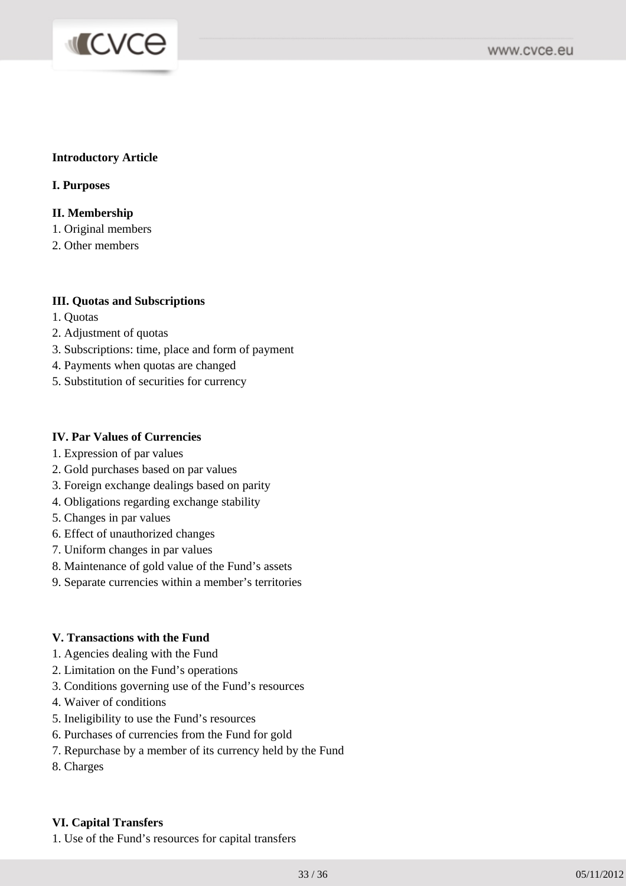## **Introductory Article**

## **I. Purposes**

## **II. Membership**

- 1. Original members
- 2. Other members

## **III. Quotas and Subscriptions**

- 1. Quotas
- 2. Adjustment of quotas
- 3. Subscriptions: time, place and form of payment
- 4. Payments when quotas are changed
- 5. Substitution of securities for currency

#### **IV. Par Values of Currencies**

- 1. Expression of par values
- 2. Gold purchases based on par values
- 3. Foreign exchange dealings based on parity
- 4. Obligations regarding exchange stability
- 5. Changes in par values
- 6. Effect of unauthorized changes
- 7. Uniform changes in par values
- 8. Maintenance of gold value of the Fund's assets
- 9. Separate currencies within a member's territories

#### **V. Transactions with the Fund**

- 1. Agencies dealing with the Fund
- 2. Limitation on the Fund's operations
- 3. Conditions governing use of the Fund's resources
- 4. Waiver of conditions
- 5. Ineligibility to use the Fund's resources
- 6. Purchases of currencies from the Fund for gold
- 7. Repurchase by a member of its currency held by the Fund
- 8. Charges

## **VI. Capital Transfers**

1. Use of the Fund's resources for capital transfers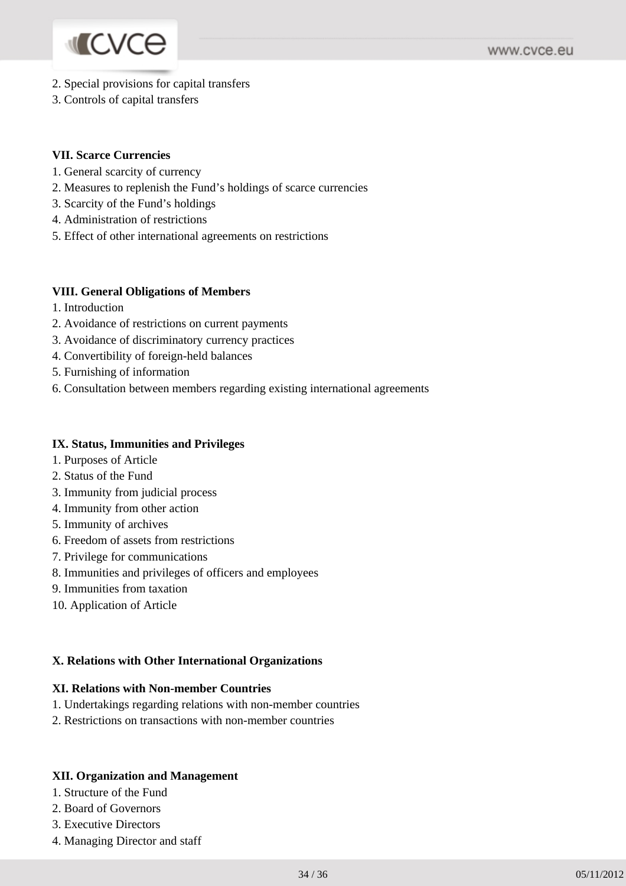- 2. Special provisions for capital transfers
- 3. Controls of capital transfers

## **VII. Scarce Currencies**

- 1. General scarcity of currency
- 2. Measures to replenish the Fund's holdings of scarce currencies
- 3. Scarcity of the Fund's holdings
- 4. Administration of restrictions
- 5. Effect of other international agreements on restrictions

## **VIII. General Obligations of Members**

- 1. Introduction
- 2. Avoidance of restrictions on current payments
- 3. Avoidance of discriminatory currency practices
- 4. Convertibility of foreign-held balances
- 5. Furnishing of information
- 6. Consultation between members regarding existing international agreements

## **IX. Status, Immunities and Privileges**

- 1. Purposes of Article
- 2. Status of the Fund
- 3. Immunity from judicial process
- 4. Immunity from other action
- 5. Immunity of archives
- 6. Freedom of assets from restrictions
- 7. Privilege for communications
- 8. Immunities and privileges of officers and employees
- 9. Immunities from taxation
- 10. Application of Article

## **X. Relations with Other International Organizations**

## **XI. Relations with Non-member Countries**

- 1. Undertakings regarding relations with non-member countries
- 2. Restrictions on transactions with non-member countries

## **XII. Organization and Management**

- 1. Structure of the Fund
- 2. Board of Governors
- 3. Executive Directors
- 4. Managing Director and staff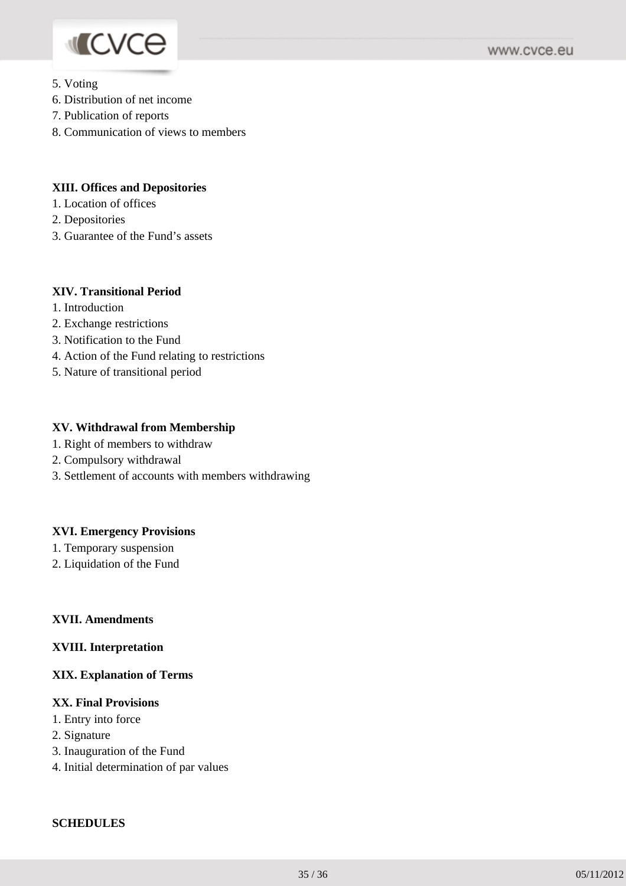

- 5. Voting
- 6. Distribution of net income
- 7. Publication of reports
- 8. Communication of views to members

## **XIII. Offices and Depositories**

- 1. Location of offices
- 2. Depositories
- 3. Guarantee of the Fund's assets

## **XIV. Transitional Period**

- 1. Introduction
- 2. Exchange restrictions
- 3. Notification to the Fund
- 4. Action of the Fund relating to restrictions
- 5. Nature of transitional period

## **XV. Withdrawal from Membership**

- 1. Right of members to withdraw
- 2. Compulsory withdrawal
- 3. Settlement of accounts with members withdrawing

## **XVI. Emergency Provisions**

- 1. Temporary suspension
- 2. Liquidation of the Fund

## **XVII. Amendments**

## **XVIII. Interpretation**

## **XIX. Explanation of Terms**

## **XX. Final Provisions**

- 1. Entry into force
- 2. Signature
- 3. Inauguration of the Fund
- 4. Initial determination of par values

## **SCHEDULES**